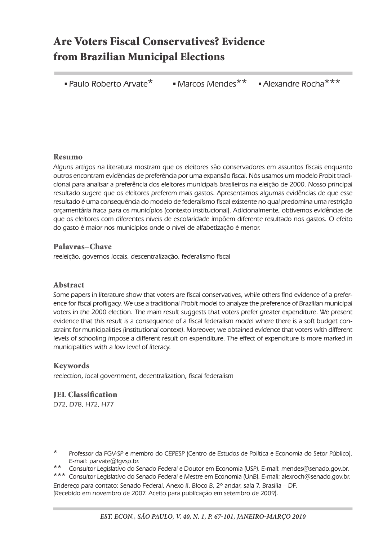# Are Voters Fiscal Conservatives? Evidence from Brazilian Municipal Elections

**• Paulo Roberto Arvate \* Marcos Mendes** \*\* **• Alexandre Rocha** \*\*\*

#### Resumo

Alguns artigos na literatura mostram que os eleitores são conservadores em assuntos fiscais enquanto outros encontram evidências de preferência por uma expansão fiscal. Nós usamos um modelo Probit tradicional para analisar a preferência dos eleitores municipais brasileiros na eleição de 2000. Nosso principal resultado sugere que os eleitores preferem mais gastos. Apresentamos algumas evidências de que esse resultado é uma consequência do modelo de federalismo fiscal existente no qual predomina uma restrição orçamentária fraca para os municípios (contexto institucional). Adicionalmente, obtivemos evidências de que os eleitores com diferentes níveis de escolaridade impõem diferente resultado nos gastos. O efeito do gasto é maior nos municípios onde o nível de alfabetização é menor.

#### Palavras–Chave

reeleição, governos locais, descentralização, federalismo fiscal

#### Abstract

Some papers in literature show that voters are fiscal conservatives, while others find evidence of a preference for fiscal profligacy. We use a traditional Probit model to analyze the preference of Brazilian municipal voters in the 2000 election. The main result suggests that voters prefer greater expenditure. We present evidence that this result is a consequence of a fiscal federalism model where there is a soft budget constraint for municipalities (institutional context). Moreover, we obtained evidence that voters with different levels of schooling impose a different result on expenditure. The effect of expenditure is more marked in municipalities with a low level of literacy.

#### Keywords

reelection, local government, decentralization, fiscal federalism

JEL Classification D72, D78, H72, H77

Professor da FGV-SP e membro do CEPESP (Centro de Estudos de Política e Economia do Setor Público). E-mail: parvate@fgvsp.br.

Consultor Legislativo do Senado Federal e Doutor em Economia (USP). E-mail: mendes@senado.gov.br.

Consultor Legislativo do Senado Federal e Mestre em Economia (UnB). E-mail: alexroch@senado.gov.br. Endereço para contato: Senado Federal, Anexo II, Bloco B, 2º andar, sala 7. Brasília – DF. (Recebido em novembro de 2007. Aceito para publicação em setembro de 2009).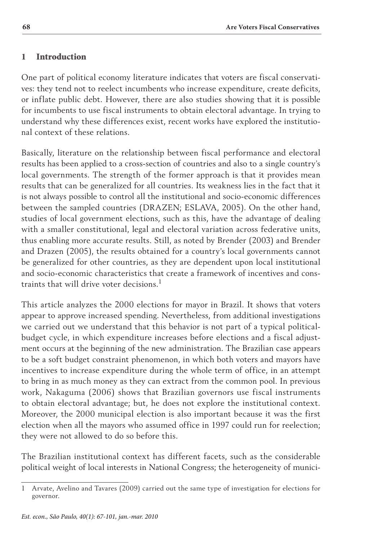# 1 Introduction

One part of political economy literature indicates that voters are fiscal conservatives: they tend not to reelect incumbents who increase expenditure, create deficits, or inflate public debt. However, there are also studies showing that it is possible for incumbents to use fiscal instruments to obtain electoral advantage. In trying to understand why these differences exist, recent works have explored the institutional context of these relations.

Basically, literature on the relationship between fiscal performance and electoral results has been applied to a cross-section of countries and also to a single country's local governments. The strength of the former approach is that it provides mean results that can be generalized for all countries. Its weakness lies in the fact that it is not always possible to control all the institutional and socio-economic differences between the sampled countries (DRAZEN; ESLAVA, 2005). On the other hand, studies of local government elections, such as this, have the advantage of dealing with a smaller constitutional, legal and electoral variation across federative units, thus enabling more accurate results. Still, as noted by Brender (2003) and Brender and Drazen (2005), the results obtained for a country's local governments cannot be generalized for other countries, as they are dependent upon local institutional and socio-economic characteristics that create a framework of incentives and constraints that will drive voter decisions.<sup>1</sup>

This article analyzes the 2000 elections for mayor in Brazil. It shows that voters appear to approve increased spending. Nevertheless, from additional investigations we carried out we understand that this behavior is not part of a typical politicalbudget cycle, in which expenditure increases before elections and a fiscal adjustment occurs at the beginning of the new administration. The Brazilian case appears to be a soft budget constraint phenomenon, in which both voters and mayors have incentives to increase expenditure during the whole term of office, in an attempt to bring in as much money as they can extract from the common pool. In previous work, Nakaguma (2006) shows that Brazilian governors use fiscal instruments to obtain electoral advantage; but, he does not explore the institutional context. Moreover, the 2000 municipal election is also important because it was the first election when all the mayors who assumed office in 1997 could run for reelection; they were not allowed to do so before this.

The Brazilian institutional context has different facets, such as the considerable political weight of local interests in National Congress; the heterogeneity of munici-

<sup>1</sup> Arvate, Avelino and Tavares (2009) carried out the same type of investigation for elections for governor.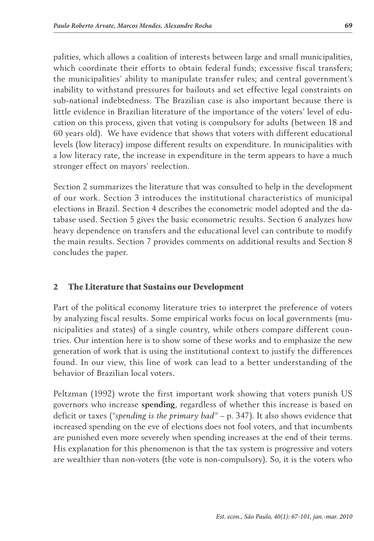palities, which allows a coalition of interests between large and small municipalities, which coordinate their efforts to obtain federal funds; excessive fiscal transfers; the municipalities' ability to manipulate transfer rules; and central government's inability to withstand pressures for bailouts and set effective legal constraints on sub-national indebtedness. The Brazilian case is also important because there is little evidence in Brazilian literature of the importance of the voters' level of education on this process, given that voting is compulsory for adults (between 18 and 60 years old). We have evidence that shows that voters with different educational levels (low literacy) impose different results on expenditure. In municipalities with a low literacy rate, the increase in expenditure in the term appears to have a much stronger effect on mayors' reelection.

Section 2 summarizes the literature that was consulted to help in the development of our work. Section 3 introduces the institutional characteristics of municipal elections in Brazil. Section 4 describes the econometric model adopted and the database used. Section 5 gives the basic econometric results. Section 6 analyzes how heavy dependence on transfers and the educational level can contribute to modify the main results. Section 7 provides comments on additional results and Section 8 concludes the paper.

### 2 The Literature that Sustains our Development

Part of the political economy literature tries to interpret the preference of voters by analyzing fiscal results. Some empirical works focus on local governments (municipalities and states) of a single country, while others compare different countries. Our intention here is to show some of these works and to emphasize the new generation of work that is using the institutional context to justify the differences found. In our view, this line of work can lead to a better understanding of the behavior of Brazilian local voters.

Peltzman (1992) wrote the first important work showing that voters punish US governors who increase **spending**, regardless of whether this increase is based on deficit or taxes ("*spending is the primary bad"* – p. 347). It also shows evidence that increased spending on the eve of elections does not fool voters, and that incumbents are punished even more severely when spending increases at the end of their terms. His explanation for this phenomenon is that the tax system is progressive and voters are wealthier than non-voters (the vote is non-compulsory). So, it is the voters who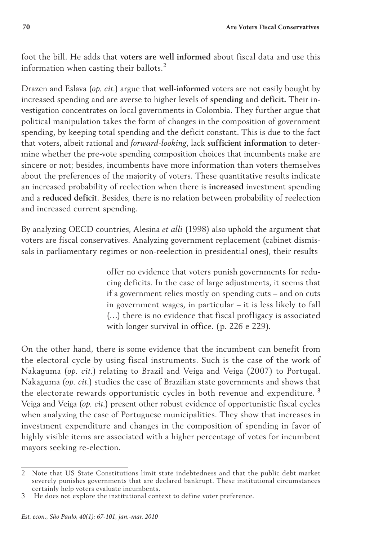foot the bill. He adds that **voters are well informed** about fiscal data and use this information when casting their ballots.<sup>2</sup>

Drazen and Eslava (*op. cit.*) argue that **well-informed** voters are not easily bought by increased spending and are averse to higher levels of **spending** and **deficit.** Their investigation concentrates on local governments in Colombia. They further argue that political manipulation takes the form of changes in the composition of government spending, by keeping total spending and the deficit constant. This is due to the fact that voters, albeit rational and *forward-looking*, lack **sufficient information** to determine whether the pre-vote spending composition choices that incumbents make are sincere or not; besides, incumbents have more information than voters themselves about the preferences of the majority of voters. These quantitative results indicate an increased probability of reelection when there is **increased** investment spending and a **reduced deficit**. Besides, there is no relation between probability of reelection and increased current spending.

By analyzing OECD countries, Alesina *et alli* (1998) also uphold the argument that voters are fiscal conservatives. Analyzing government replacement (cabinet dismissals in parliamentary regimes or non-reelection in presidential ones), their results

> offer no evidence that voters punish governments for reducing deficits. In the case of large adjustments, it seems that if a government relies mostly on spending cuts – and on cuts in government wages, in particular – it is less likely to fall (…) there is no evidence that fiscal profligacy is associated with longer survival in office. (p. 226 e 229).

On the other hand, there is some evidence that the incumbent can benefit from the electoral cycle by using fiscal instruments. Such is the case of the work of Nakaguma (*op. cit.*) relating to Brazil and Veiga and Veiga (2007) to Portugal. Nakaguma (*op. cit.*) studies the case of Brazilian state governments and shows that the electorate rewards opportunistic cycles in both revenue and expenditure.<sup>3</sup> Veiga and Veiga (*op. cit.*) present other robust evidence of opportunistic fiscal cycles when analyzing the case of Portuguese municipalities. They show that increases in investment expenditure and changes in the composition of spending in favor of highly visible items are associated with a higher percentage of votes for incumbent mayors seeking re-election.

<sup>2</sup> Note that US State Constitutions limit state indebtedness and that the public debt market severely punishes governments that are declared bankrupt. These institutional circumstances certainly help voters evaluate incumbents.

<sup>3</sup> He does not explore the institutional context to define voter preference.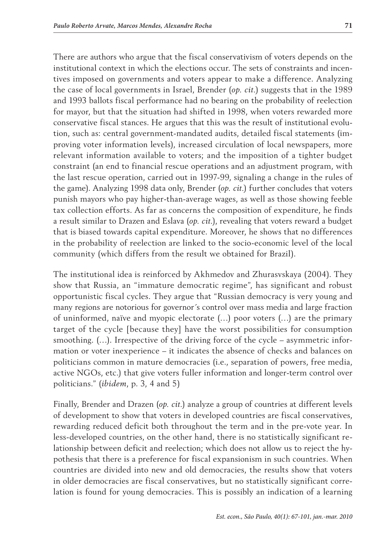There are authors who argue that the fiscal conservativism of voters depends on the institutional context in which the elections occur. The sets of constraints and incentives imposed on governments and voters appear to make a difference. Analyzing the case of local governments in Israel, Brender (*op. cit.*) suggests that in the 1989 and 1993 ballots fiscal performance had no bearing on the probability of reelection for mayor, but that the situation had shifted in 1998, when voters rewarded more conservative fiscal stances. He argues that this was the result of institutional evolution, such as: central government-mandated audits, detailed fiscal statements (improving voter information levels), increased circulation of local newspapers, more relevant information available to voters; and the imposition of a tighter budget constraint (an end to financial rescue operations and an adjustment program, with the last rescue operation, carried out in 1997-99, signaling a change in the rules of the game). Analyzing 1998 data only, Brender (*op. cit.*) further concludes that voters punish mayors who pay higher-than-average wages, as well as those showing feeble tax collection efforts. As far as concerns the composition of expenditure, he finds a result similar to Drazen and Eslava (*op. cit.*), revealing that voters reward a budget that is biased towards capital expenditure. Moreover, he shows that no differences in the probability of reelection are linked to the socio-economic level of the local community (which differs from the result we obtained for Brazil).

The institutional idea is reinforced by Akhmedov and Zhurasvskaya (2004). They show that Russia, an "immature democratic regime", has significant and robust opportunistic fiscal cycles. They argue that "Russian democracy is very young and many regions are notorious for governor´s control over mass media and large fraction of uninformed, naïve and myopic electorate (…) poor voters (…) are the primary target of the cycle [because they] have the worst possibilities for consumption smoothing. (…). Irrespective of the driving force of the cycle – asymmetric information or voter inexperience – it indicates the absence of checks and balances on politicians common in mature democracies (i.e., separation of powers, free media, active NGOs, etc.) that give voters fuller information and longer-term control over politicians." (*ibidem*, p. 3, 4 and 5)

Finally, Brender and Drazen (*op. cit.*) analyze a group of countries at different levels of development to show that voters in developed countries are fiscal conservatives, rewarding reduced deficit both throughout the term and in the pre-vote year. In less-developed countries, on the other hand, there is no statistically significant relationship between deficit and reelection; which does not allow us to reject the hypothesis that there is a preference for fiscal expansionism in such countries. When countries are divided into new and old democracies, the results show that voters in older democracies are fiscal conservatives, but no statistically significant correlation is found for young democracies. This is possibly an indication of a learning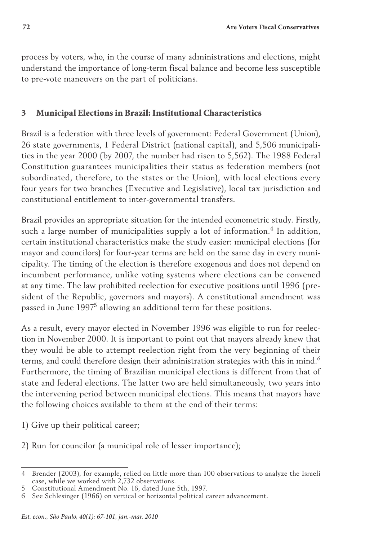process by voters, who, in the course of many administrations and elections, might understand the importance of long-term fiscal balance and become less susceptible to pre-vote maneuvers on the part of politicians.

# 3 Municipal Elections in Brazil: Institutional Characteristics

Brazil is a federation with three levels of government: Federal Government (Union), 26 state governments, 1 Federal District (national capital), and 5,506 municipalities in the year 2000 (by 2007, the number had risen to 5,562). The 1988 Federal Constitution guarantees municipalities their status as federation members (not subordinated, therefore, to the states or the Union), with local elections every four years for two branches (Executive and Legislative), local tax jurisdiction and constitutional entitlement to inter-governmental transfers.

Brazil provides an appropriate situation for the intended econometric study. Firstly, such a large number of municipalities supply a lot of information.<sup>4</sup> In addition, certain institutional characteristics make the study easier: municipal elections (for mayor and councilors) for four-year terms are held on the same day in every municipality. The timing of the election is therefore exogenous and does not depend on incumbent performance, unlike voting systems where elections can be convened at any time. The law prohibited reelection for executive positions until 1996 (president of the Republic, governors and mayors). A constitutional amendment was passed in June 1997<sup>5</sup> allowing an additional term for these positions.

As a result, every mayor elected in November 1996 was eligible to run for reelection in November 2000. It is important to point out that mayors already knew that they would be able to attempt reelection right from the very beginning of their terms, and could therefore design their administration strategies with this in mind.<sup>6</sup> Furthermore, the timing of Brazilian municipal elections is different from that of state and federal elections. The latter two are held simultaneously, two years into the intervening period between municipal elections. This means that mayors have the following choices available to them at the end of their terms:

1) Give up their political career;

2) Run for councilor (a municipal role of lesser importance);

<sup>4</sup> Brender (2003), for example, relied on little more than 100 observations to analyze the Israeli case, while we worked with 2,732 observations.

<sup>5</sup> Constitutional Amendment No. 16, dated June 5th, 1997.

<sup>6</sup> See Schlesinger (1966) on vertical or horizontal political career advancement.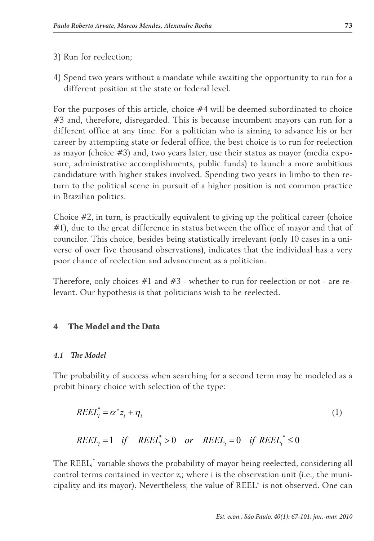- 3) Run for reelection;
- 4) Spend two years without a mandate while awaiting the opportunity to run for a different position at the state or federal level.

For the purposes of this article, choice #4 will be deemed subordinated to choice #3 and, therefore, disregarded. This is because incumbent mayors can run for a different office at any time. For a politician who is aiming to advance his or her career by attempting state or federal office, the best choice is to run for reelection as mayor (choice #3) and, two years later, use their status as mayor (media exposure, administrative accomplishments, public funds) to launch a more ambitious candidature with higher stakes involved. Spending two years in limbo to then return to the political scene in pursuit of a higher position is not common practice in Brazilian politics.

Choice  $#2$ , in turn, is practically equivalent to giving up the political career (choice #1), due to the great difference in status between the office of mayor and that of councilor. This choice, besides being statistically irrelevant (only 10 cases in a universe of over five thousand observations), indicates that the individual has a very poor chance of reelection and advancement as a politician.

Therefore, only choices  $\#1$  and  $\#3$  - whether to run for reelection or not - are relevant. Our hypothesis is that politicians wish to be reelected.

### 4 The Model and the Data

### *4.1 The Model*

The probability of success when searching for a second term may be modeled as a probit binary choice with selection of the type:

$$
REEL_i^* = \alpha' z_i + \eta_i \tag{1}
$$

$$
REEL_i = 1 \quad \text{if} \quad REEL_i^* > 0 \quad \text{or} \quad REEL_i = 0 \quad \text{if} \quad REEL_i^* \le 0
$$

The REEL<sup>\*</sup> variable shows the probability of mayor being reelected, considering all control terms contained in vector  $z_i$ ; where i is the observation unit (i.e., the municipality and its mayor). Nevertheless, the value of REEL\* is not observed. One can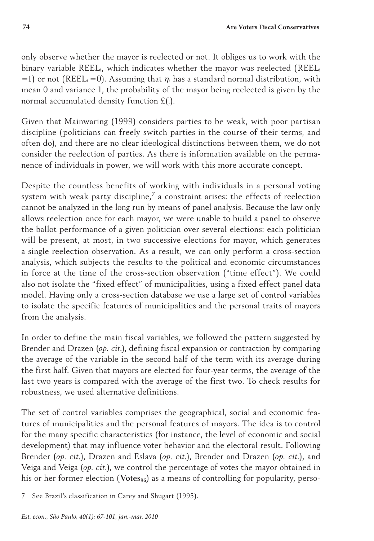only observe whether the mayor is reelected or not. It obliges us to work with the binary variable REELi, which indicates whether the mayor was reelected (REELi =1) or not (REEL<sub>i</sub> =0). Assuming that  $\eta_i$  has a standard normal distribution, with mean 0 and variance 1, the probability of the mayor being reelected is given by the normal accumulated density function £(.).

Given that Mainwaring (1999) considers parties to be weak, with poor partisan discipline (politicians can freely switch parties in the course of their terms, and often do), and there are no clear ideological distinctions between them, we do not consider the reelection of parties. As there is information available on the permanence of individuals in power, we will work with this more accurate concept.

Despite the countless benefits of working with individuals in a personal voting system with weak party discipline, $^7$  a constraint arises: the effects of reelection cannot be analyzed in the long run by means of panel analysis. Because the law only allows reelection once for each mayor, we were unable to build a panel to observe the ballot performance of a given politician over several elections: each politician will be present, at most, in two successive elections for mayor, which generates a single reelection observation. As a result, we can only perform a cross-section analysis, which subjects the results to the political and economic circumstances in force at the time of the cross-section observation ("time effect"). We could also not isolate the "fixed effect" of municipalities, using a fixed effect panel data model. Having only a cross-section database we use a large set of control variables to isolate the specific features of municipalities and the personal traits of mayors from the analysis.

In order to define the main fiscal variables, we followed the pattern suggested by Brender and Drazen (*op. cit*.), defining fiscal expansion or contraction by comparing the average of the variable in the second half of the term with its average during the first half. Given that mayors are elected for four-year terms, the average of the last two years is compared with the average of the first two. To check results for robustness, we used alternative definitions.

The set of control variables comprises the geographical, social and economic features of municipalities and the personal features of mayors. The idea is to control for the many specific characteristics (for instance, the level of economic and social development) that may influence voter behavior and the electoral result. Following Brender (*op. cit.*), Drazen and Eslava (*op. cit.*), Brender and Drazen (*op. cit.*), and Veiga and Veiga (*op. cit.*), we control the percentage of votes the mayor obtained in his or her former election (Votes<sub>96</sub>) as a means of controlling for popularity, perso-

<sup>7</sup> See Brazil's classification in Carey and Shugart (1995).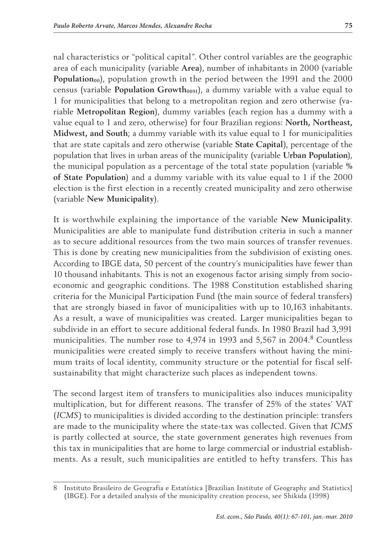nal characteristics or "political capital". Other control variables are the geographic area of each municipality (variable **Area**), number of inhabitants in 2000 (variable **Population**<sub>00</sub>), population growth in the period between the 1991 and the 2000 census (variable **Population Growth**<sub>0091</sub>), a dummy variable with a value equal to 1 for municipalities that belong to a metropolitan region and zero otherwise (variable **Metropolitan Region**), dummy variables (each region has a dummy with a value equal to 1 and zero, otherwise) for four Brazilian regions: **North, Northeast, Midwest, and South**; a dummy variable with its value equal to 1 for municipalities that are state capitals and zero otherwise (variable **State Capital**), percentage of the population that lives in urban areas of the municipality (variable **Urban Population**), the municipal population as a percentage of the total state population (variable **% of State Population**) and a dummy variable with its value equal to 1 if the 2000 election is the first election in a recently created municipality and zero otherwise (variable **New Municipality**).

It is worthwhile explaining the importance of the variable **New Municipality**. Municipalities are able to manipulate fund distribution criteria in such a manner as to secure additional resources from the two main sources of transfer revenues. This is done by creating new municipalities from the subdivision of existing ones. According to IBGE data, 50 percent of the country's municipalities have fewer than 10 thousand inhabitants. This is not an exogenous factor arising simply from socioeconomic and geographic conditions. The 1988 Constitution established sharing criteria for the Municipal Participation Fund (the main source of federal transfers) that are strongly biased in favor of municipalities with up to 10,163 inhabitants. As a result, a wave of municipalities was created. Larger municipalities began to subdivide in an effort to secure additional federal funds. In 1980 Brazil had 3,991 municipalities. The number rose to 4,974 in 1993 and 5,567 in 2004.<sup>8</sup> Countless municipalities were created simply to receive transfers without having the minimum traits of local identity, community structure or the potential for fiscal selfsustainability that might characterize such places as independent towns.

The second largest item of transfers to municipalities also induces municipality multiplication, but for different reasons. The transfer of 25% of the states' VAT (*ICMS*) to municipalities is divided according to the destination principle: transfers are made to the municipality where the state-tax was collected. Given that *ICMS*  is partly collected at source, the state government generates high revenues from this tax in municipalities that are home to large commercial or industrial establishments. As a result, such municipalities are entitled to hefty transfers. This has

<sup>8</sup> Instituto Brasileiro de Geografia e Estatística [Brazilian Institute of Geography and Statistics] (IBGE). For a detailed analysis of the municipality creation process, see Shikida (1998)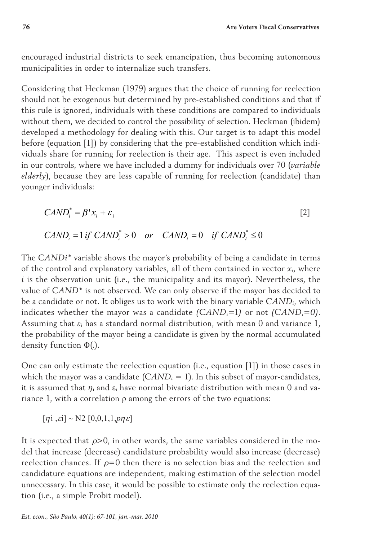encouraged industrial districts to seek emancipation, thus becoming autonomous municipalities in order to internalize such transfers.

Considering that Heckman (1979) argues that the choice of running for reelection should not be exogenous but determined by pre-established conditions and that if this rule is ignored, individuals with these conditions are compared to individuals without them, we decided to control the possibility of selection. Heckman (ibidem) developed a methodology for dealing with this. Our target is to adapt this model before (equation [1]) by considering that the pre-established condition which individuals share for running for reelection is their age. This aspect is even included in our controls, where we have included a dummy for individuals over 70 (*variable elderly*), because they are less capable of running for reelection (candidate) than younger individuals:

$$
CAND_i^* = \beta^* x_i + \varepsilon_i
$$
 [2]

$$
CAND_i = 1 \text{ if } CAND_i^* > 0 \quad \text{or} \quad CAND_t = 0 \quad \text{if } CAND_t^* \le 0
$$

The *CANDi\** variable shows the mayor's probability of being a candidate in terms of the control and explanatory variables, all of them contained in vector *xi*, where *i* is the observation unit (i.e., the municipality and its mayor). Nevertheless, the value of *CAND\** is not observed. We can only observe if the mayor has decided to be a candidate or not. It obliges us to work with the binary variable *CANDi*, which indicates whether the mayor was a candidate *(CANDi=*1*)* or not *(CANDi=0)*. Assuming that  $\varepsilon_i$  has a standard normal distribution, with mean 0 and variance 1, the probability of the mayor being a candidate is given by the normal accumulated density function Φ(.).

One can only estimate the reelection equation (i.e., equation [1]) in those cases in which the mayor was a candidate  $(CAND_i = 1)$ . In this subset of mayor-candidates, it is assumed that  $\eta_i$  and  $\varepsilon_i$  have normal bivariate distribution with mean 0 and variance 1, with a correlation ρ among the errors of the two equations:

 $[\eta i, \varepsilon i] \sim N2$   $[0, 0, 1, 1, p\eta \varepsilon]$ 

It is expected that  $\rho$ >0, in other words, the same variables considered in the model that increase (decrease) candidature probability would also increase (decrease) reelection chances. If  $\rho=0$  then there is no selection bias and the reelection and candidature equations are independent, making estimation of the selection model unnecessary. In this case, it would be possible to estimate only the reelection equation (i.e., a simple Probit model).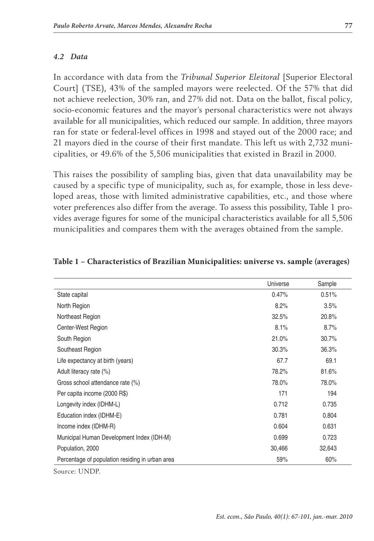#### *4.2 Data*

In accordance with data from the *Tribunal Superior Eleitoral* [Superior Electoral Court] (TSE), 43% of the sampled mayors were reelected. Of the 57% that did not achieve reelection, 30% ran, and 27% did not. Data on the ballot, fiscal policy, socio-economic features and the mayor's personal characteristics were not always available for all municipalities, which reduced our sample. In addition, three mayors ran for state or federal-level offices in 1998 and stayed out of the 2000 race; and 21 mayors died in the course of their first mandate. This left us with 2,732 municipalities, or 49.6% of the 5,506 municipalities that existed in Brazil in 2000.

This raises the possibility of sampling bias, given that data unavailability may be caused by a specific type of municipality, such as, for example, those in less developed areas, those with limited administrative capabilities, etc., and those where voter preferences also differ from the average. To assess this possibility, Table 1 provides average figures for some of the municipal characteristics available for all 5,506 municipalities and compares them with the averages obtained from the sample.

|                                                 | Universe | Sample |
|-------------------------------------------------|----------|--------|
| State capital                                   | 0.47%    | 0.51%  |
| North Region                                    | 8.2%     | 3.5%   |
| Northeast Region                                | 32.5%    | 20.8%  |
| Center-West Region                              | 8.1%     | 8.7%   |
| South Region                                    | 21.0%    | 30.7%  |
| Southeast Region                                | 30.3%    | 36.3%  |
| Life expectancy at birth (years)                | 67.7     | 69.1   |
| Adult literacy rate (%)                         | 78.2%    | 81.6%  |
| Gross school attendance rate (%)                | 78.0%    | 78.0%  |
| Per capita income (2000 R\$)                    | 171      | 194    |
| Longevity index (IDHM-L)                        | 0.712    | 0.735  |
| Education index (IDHM-E)                        | 0.781    | 0.804  |
| Income index (IDHM-R)                           | 0.604    | 0.631  |
| Municipal Human Development Index (IDH-M)       | 0.699    | 0.723  |
| Population, 2000                                | 30,466   | 32,643 |
| Percentage of population residing in urban area | 59%      | 60%    |

#### **Table 1 – Characteristics of Brazilian Municipalities: universe vs. sample (averages)**

Source: UNDP.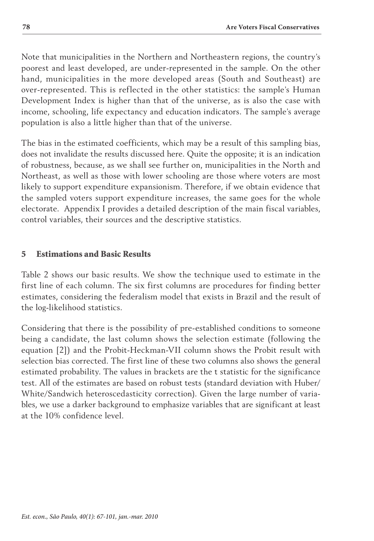Note that municipalities in the Northern and Northeastern regions, the country's poorest and least developed, are under-represented in the sample. On the other hand, municipalities in the more developed areas (South and Southeast) are over-represented. This is reflected in the other statistics: the sample's Human Development Index is higher than that of the universe, as is also the case with income, schooling, life expectancy and education indicators. The sample's average population is also a little higher than that of the universe.

The bias in the estimated coefficients, which may be a result of this sampling bias, does not invalidate the results discussed here. Quite the opposite; it is an indication of robustness, because, as we shall see further on, municipalities in the North and Northeast, as well as those with lower schooling are those where voters are most likely to support expenditure expansionism. Therefore, if we obtain evidence that the sampled voters support expenditure increases, the same goes for the whole electorate. Appendix I provides a detailed description of the main fiscal variables, control variables, their sources and the descriptive statistics.

# 5 Estimations and Basic Results

Table 2 shows our basic results. We show the technique used to estimate in the first line of each column. The six first columns are procedures for finding better estimates, considering the federalism model that exists in Brazil and the result of the log-likelihood statistics.

Considering that there is the possibility of pre-established conditions to someone being a candidate, the last column shows the selection estimate (following the equation [2]) and the Probit-Heckman-VII column shows the Probit result with selection bias corrected. The first line of these two columns also shows the general estimated probability. The values in brackets are the t statistic for the significance test. All of the estimates are based on robust tests (standard deviation with Huber/ White/Sandwich heteroscedasticity correction). Given the large number of variables, we use a darker background to emphasize variables that are significant at least at the 10% confidence level.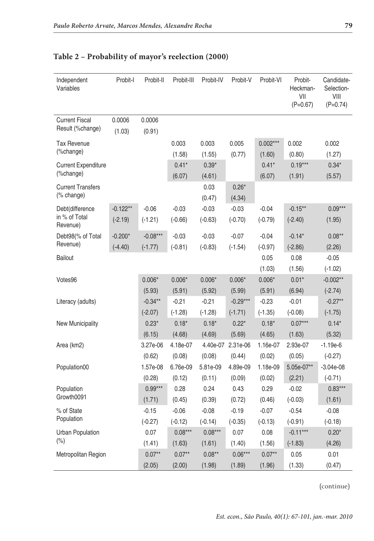| Independent<br>Variables                     | Probit-I                | Probit-II               | Probit-III           | Probit-IV            | Probit-V                | Probit-VI            | Probit-<br>Heckman-<br>VII<br>$(P=0.67)$ | Candidate-<br>Selection-<br>VIII<br>$(P=0.74)$ |
|----------------------------------------------|-------------------------|-------------------------|----------------------|----------------------|-------------------------|----------------------|------------------------------------------|------------------------------------------------|
| <b>Current Fiscal</b><br>Result (%change)    | 0.0006<br>(1.03)        | 0.0006<br>(0.91)        |                      |                      |                         |                      |                                          |                                                |
| <b>Tax Revenue</b><br>(%change)              |                         |                         | 0.003<br>(1.58)      | 0.003<br>(1.55)      | 0.005<br>(0.77)         | $0.002***$<br>(1.60) | 0.002<br>(0.80)                          | 0.002<br>(1.27)                                |
| <b>Current Expenditure</b><br>(%change)      |                         |                         | $0.41*$<br>(6.07)    | $0.39*$<br>(4.61)    |                         | $0.41*$<br>(6.07)    | $0.19***$<br>(1.91)                      | $0.34*$<br>(5.57)                              |
| <b>Current Transfers</b><br>(% change)       |                         |                         |                      | 0.03<br>(0.47)       | $0.26*$<br>(4.34)       |                      |                                          |                                                |
| Debt(difference<br>in % of Total<br>Revenue) | $-0.122**$<br>$(-2.19)$ | $-0.06$<br>$(-1.21)$    | $-0.03$<br>$(-0.66)$ | $-0.03$<br>$(-0.63)$ | $-0.03$<br>$(-0.70)$    | $-0.04$<br>$(-0.79)$ | $-0.15**$<br>$(-2.40)$                   | $0.09***$<br>(1.95)                            |
| Debt98(% of Total<br>Revenue)                | $-0.200*$<br>$(-4.40)$  | $-0.08***$<br>$(-1.77)$ | $-0.03$<br>$(-0.81)$ | $-0.03$<br>$(-0.83)$ | $-0.07$<br>$(-1.54)$    | $-0.04$<br>$(-0.97)$ | $-0.14*$<br>$(-2.86)$                    | $0.08**$<br>(2.26)                             |
| <b>Bailout</b>                               |                         |                         |                      |                      |                         | 0.05<br>(1.03)       | 0.08<br>(1.56)                           | $-0.05$<br>$(-1.02)$                           |
| Votes96                                      |                         | $0.006*$<br>(5.93)      | $0.006*$<br>(5.91)   | $0.006*$<br>(5.92)   | $0.006*$<br>(5.99)      | $0.006*$<br>(5.91)   | $0.01*$<br>(6.94)                        | $-0.002**$<br>$(-2.74)$                        |
| Literacy (adults)                            |                         | $-0.34**$<br>$(-2.07)$  | $-0.21$<br>$(-1.28)$ | $-0.21$<br>$(-1.28)$ | $-0.29***$<br>$(-1.71)$ | $-0.23$<br>$(-1.35)$ | $-0.01$<br>$(-0.08)$                     | $-0.27**$<br>$(-1.75)$                         |
| New Municipality                             |                         | $0.23*$<br>(6.15)       | $0.18*$<br>(4.68)    | $0.18*$<br>(4.69)    | $0.22*$<br>(5.69)       | $0.18*$<br>(4.65)    | $0.07***$<br>(1.63)                      | $0.14*$<br>(5.32)                              |
| Area (km2)                                   |                         | 3.27e-06<br>(0.62)      | 4.18e-07<br>(0.08)   | 4.40e-07<br>(0.08)   | 2.31e-06<br>(0.44)      | 1.16e-07<br>(0.02)   | 2.93e-07<br>(0.05)                       | $-1.19e-6$<br>$(-0.27)$                        |
| Population00                                 |                         | 1.57e-08<br>(0.28)      | 6.76e-09<br>(0.12)   | 5.81e-09<br>(0.11)   | 4.89e-09<br>(0.09)      | 1.18e-09<br>(0.02)   | 5.05e-07**<br>(2.21)                     | $-3.04e-08$<br>$(-0.71)$                       |
| Population<br>Growth0091                     |                         | $0.99***$<br>(1.71)     | 0.28<br>(0.45)       | 0.24<br>(0.39)       | 0.43<br>(0.72)          | 0.29<br>(0.46)       | $-0.02$<br>$(-0.03)$                     | $0.83***$<br>(1.61)                            |
| % of State<br>Population                     |                         | $-0.15$<br>$(-0.27)$    | $-0.06$<br>$(-0.12)$ | $-0.08$<br>$(-0.14)$ | $-0.19$<br>$(-0.35)$    | $-0.07$<br>$(-0.13)$ | $-0.54$<br>$(-0.91)$                     | $-0.08$<br>$(-0.18)$                           |
| Urban Population<br>(%)                      |                         | 0.07<br>(1.41)          | $0.08***$<br>(1.63)  | $0.08***$<br>(1.61)  | 0.07<br>(1.40)          | 0.08<br>(1.56)       | $-0.11***$<br>$(-1.83)$                  | $0.20*$<br>(4.26)                              |
| Metropolitan Region                          |                         | $0.07**$<br>(2.05)      | $0.07**$<br>(2.00)   | $0.08**$<br>(1.98)   | $0.06***$<br>(1.89)     | $0.07**$<br>(1.96)   | 0.05<br>(1.33)                           | 0.01<br>(0.47)                                 |

## **Table 2 – Probability of mayor's reelection (2000)**

(continue)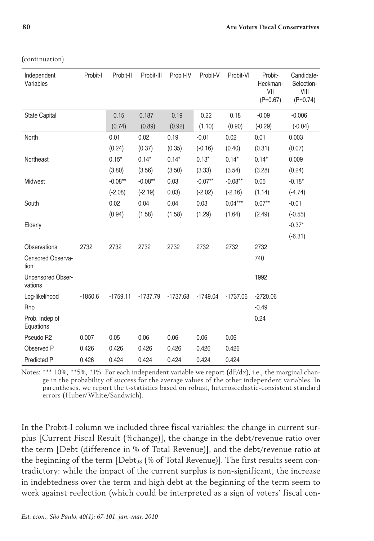| Independent<br>Variables            | Probit-I  | Probit-II  | Probit-III | Probit-IV  | Probit-V   | Probit-VI  | Probit-<br>Heckman-<br>VII<br>$(P=0.67)$ | Candidate-<br>Selection-<br>VIII<br>$(P=0.74)$ |
|-------------------------------------|-----------|------------|------------|------------|------------|------------|------------------------------------------|------------------------------------------------|
| <b>State Capital</b>                |           | 0.15       | 0.187      | 0.19       | 0.22       | 0.18       | $-0.09$                                  | $-0.006$                                       |
|                                     |           | (0.74)     | (0.89)     | (0.92)     | (1.10)     | (0.90)     | $(-0.29)$                                | $(-0.04)$                                      |
| North                               |           | 0.01       | 0.02       | 0.19       | $-0.01$    | 0.02       | 0.01                                     | 0.003                                          |
|                                     |           | (0.24)     | (0.37)     | (0.35)     | $(-0.16)$  | (0.40)     | (0.31)                                   | (0.07)                                         |
| Northeast                           |           | $0.15*$    | $0.14*$    | $0.14*$    | $0.13*$    | $0.14*$    | $0.14*$                                  | 0.009                                          |
|                                     |           | (3.80)     | (3.56)     | (3.50)     | (3.33)     | (3.54)     | (3.28)                                   | (0.24)                                         |
| Midwest                             |           | $-0.08**$  | $-0.08**$  | 0.03       | $-0.07**$  | $-0.08**$  | 0.05                                     | $-0.18*$                                       |
|                                     |           | $(-2.08)$  | $(-2.19)$  | 0.03)      | $(-2.02)$  | $(-2.16)$  | (1.14)                                   | $(-4.74)$                                      |
| South                               |           | 0.02       | 0.04       | 0.04       | 0.03       | $0.04***$  | $0.07**$                                 | $-0.01$                                        |
|                                     |           | (0.94)     | (1.58)     | (1.58)     | (1.29)     | (1.64)     | (2.49)                                   | $(-0.55)$                                      |
| Elderly                             |           |            |            |            |            |            |                                          | $-0.37*$                                       |
|                                     |           |            |            |            |            |            |                                          | $(-6.31)$                                      |
| <b>Observations</b>                 | 2732      | 2732       | 2732       | 2732       | 2732       | 2732       | 2732                                     |                                                |
| Censored Observa-<br>tion           |           |            |            |            |            |            | 740                                      |                                                |
| <b>Uncensored Obser-</b><br>vations |           |            |            |            |            |            | 1992                                     |                                                |
| Log-likelihood                      | $-1850.6$ | $-1759.11$ | $-1737.79$ | $-1737.68$ | $-1749.04$ | $-1737.06$ | $-2720.06$                               |                                                |
| Rho                                 |           |            |            |            |            |            | $-0.49$                                  |                                                |
| Prob. Indep of<br>Equations         |           |            |            |            |            |            | 0.24                                     |                                                |
| Pseudo R2                           | 0.007     | 0.05       | 0.06       | 0.06       | 0.06       | 0.06       |                                          |                                                |
| Observed P                          | 0.426     | 0.426      | 0.426      | 0.426      | 0.426      | 0.426      |                                          |                                                |
| <b>Predicted P</b>                  | 0.426     | 0.424      | 0.424      | 0.424      | 0.424      | 0.424      |                                          |                                                |

(continuation)

Notes: \*\*\* 10%, \*\*5%, \*1%. For each independent variable we report (dF/dx), i.e., the marginal change in the probability of success for the average values of the other independent variables. In parentheses, we report the t-statistics based on robust, heteroscedastic-consistent standard errors (Huber/White/Sandwich).

In the Probit-I column we included three fiscal variables: the change in current surplus [Current Fiscal Result (%change)], the change in the debt/revenue ratio over the term [Debt (difference in % of Total Revenue)], and the debt/revenue ratio at the beginning of the term  $[Debt_{98}]$  (% of Total Revenue)]. The first results seem contradictory: while the impact of the current surplus is non-significant, the increase in indebtedness over the term and high debt at the beginning of the term seem to work against reelection (which could be interpreted as a sign of voters' fiscal con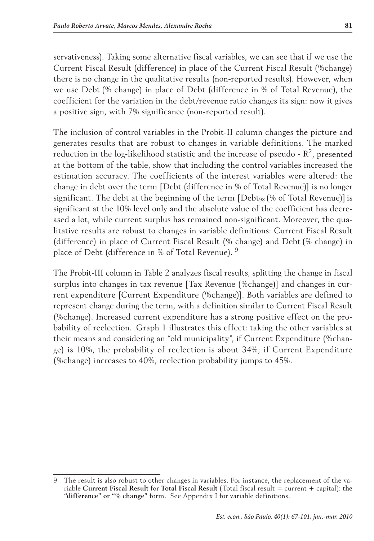servativeness). Taking some alternative fiscal variables, we can see that if we use the Current Fiscal Result (difference) in place of the Current Fiscal Result (%change) there is no change in the qualitative results (non-reported results). However, when we use Debt (% change) in place of Debt (difference in % of Total Revenue), the coefficient for the variation in the debt/revenue ratio changes its sign: now it gives a positive sign, with 7% significance (non-reported result).

The inclusion of control variables in the Probit-II column changes the picture and generates results that are robust to changes in variable definitions. The marked reduction in the log-likelihood statistic and the increase of pseudo -  $\mathbb{R}^2$ , presented at the bottom of the table, show that including the control variables increased the estimation accuracy. The coefficients of the interest variables were altered: the change in debt over the term [Debt (difference in % of Total Revenue)] is no longer significant. The debt at the beginning of the term [Debt<sub>98</sub> (% of Total Revenue)] is significant at the 10% level only and the absolute value of the coefficient has decreased a lot, while current surplus has remained non-significant. Moreover, the qualitative results are robust to changes in variable definitions: Current Fiscal Result (difference) in place of Current Fiscal Result (% change) and Debt (% change) in place of Debt (difference in % of Total Revenue). <sup>9</sup>

The Probit-III column in Table 2 analyzes fiscal results, splitting the change in fiscal surplus into changes in tax revenue [Tax Revenue (%change)] and changes in current expenditure [Current Expenditure (%change)]. Both variables are defined to represent change during the term, with a definition similar to Current Fiscal Result (%change). Increased current expenditure has a strong positive effect on the probability of reelection. Graph 1 illustrates this effect: taking the other variables at their means and considering an "old municipality", if Current Expenditure (%change) is 10%, the probability of reelection is about 34%; if Current Expenditure (%change) increases to 40%, reelection probability jumps to 45%.

<sup>9</sup> The result is also robust to other changes in variables. For instance, the replacement of the variable **Current Fiscal Result** for **Total Fiscal Result** (Total fiscal result = current + capital): **the "difference" or "% change"** form. See Appendix I for variable definitions.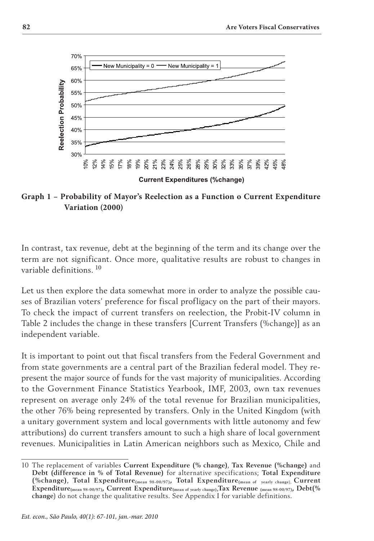

**Graph 1 – Probability of Mayor's Reelection as a Function o Current Expenditure Variation (2000)** 

In contrast, tax revenue, debt at the beginning of the term and its change over the term are not significant. Once more, qualitative results are robust to changes in variable definitions. <sup>10</sup>

Let us then explore the data somewhat more in order to analyze the possible causes of Brazilian voters' preference for fiscal profligacy on the part of their mayors. To check the impact of current transfers on reelection, the Probit-IV column in Table 2 includes the change in these transfers [Current Transfers (%change)] as an independent variable.

It is important to point out that fiscal transfers from the Federal Government and from state governments are a central part of the Brazilian federal model. They represent the major source of funds for the vast majority of municipalities. According to the Government Finance Statistics Yearbook, IMF, 2003, own tax revenues represent on average only 24% of the total revenue for Brazilian municipalities, the other 76% being represented by transfers. Only in the United Kingdom (with a unitary government system and local governments with little autonomy and few attributions) do current transfers amount to such a high share of local government revenues. Municipalities in Latin American neighbors such as Mexico, Chile and

<sup>10</sup> The replacement of variables **Current Expenditure (% change)**, **Tax Revenue (%change)** and **Debt (difference in % of Total Revenue)** for alternative specifications; **Total Expenditure (%change)**, **Total Expenditure(mean 98-00/97), Total Expenditure(mean of yearly change**), **Current Expenditure(mean 98-00/97), Current Expenditure(mean of yearly change)**,**Tax Revenue (mean 98-00/97), Debt(% change**) do not change the qualitative results. See Appendix I for variable definitions.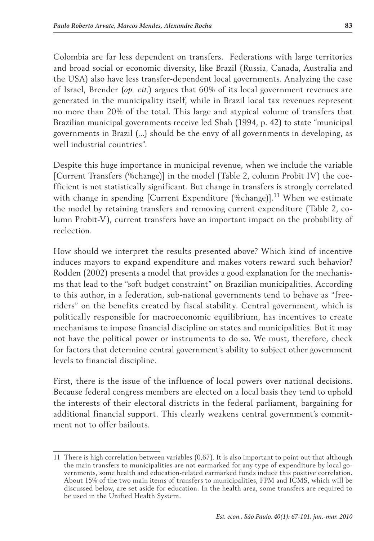Colombia are far less dependent on transfers. Federations with large territories and broad social or economic diversity, like Brazil (Russia, Canada, Australia and the USA) also have less transfer-dependent local governments. Analyzing the case of Israel, Brender (*op. cit.*) argues that 60% of its local government revenues are generated in the municipality itself, while in Brazil local tax revenues represent no more than 20% of the total. This large and atypical volume of transfers that Brazilian municipal governments receive led Shah (1994, p. 42) to state "municipal governments in Brazil (...) should be the envy of all governments in developing, as well industrial countries".

Despite this huge importance in municipal revenue, when we include the variable [Current Transfers (%change)] in the model (Table 2, column Probit IV) the coefficient is not statistically significant. But change in transfers is strongly correlated with change in spending [Current Expenditure (%change)].<sup>11</sup> When we estimate the model by retaining transfers and removing current expenditure (Table 2, column Probit-V), current transfers have an important impact on the probability of reelection.

How should we interpret the results presented above? Which kind of incentive induces mayors to expand expenditure and makes voters reward such behavior? Rodden (2002) presents a model that provides a good explanation for the mechanisms that lead to the "soft budget constraint" on Brazilian municipalities. According to this author, in a federation, sub-national governments tend to behave as "freeriders" on the benefits created by fiscal stability. Central government, which is politically responsible for macroeconomic equilibrium, has incentives to create mechanisms to impose financial discipline on states and municipalities. But it may not have the political power or instruments to do so. We must, therefore, check for factors that determine central government's ability to subject other government levels to financial discipline.

First, there is the issue of the influence of local powers over national decisions. Because federal congress members are elected on a local basis they tend to uphold the interests of their electoral districts in the federal parliament, bargaining for additional financial support. This clearly weakens central government's commitment not to offer bailouts.

<sup>11</sup> There is high correlation between variables (0,67). It is also important to point out that although the main transfers to municipalities are not earmarked for any type of expenditure by local governments, some health and education-related earmarked funds induce this positive correlation. About 15% of the two main items of transfers to municipalities, FPM and ICMS, which will be discussed below, are set aside for education. In the health area, some transfers are required to be used in the Unified Health System.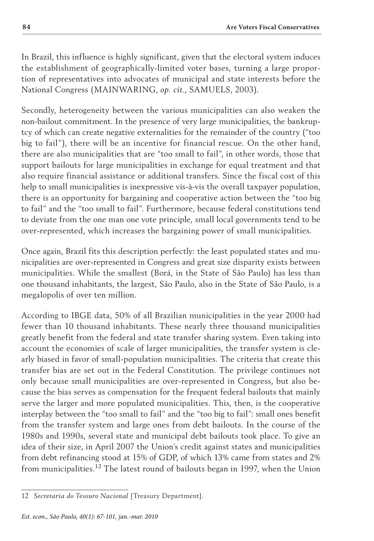In Brazil, this influence is highly significant, given that the electoral system induces the establishment of geographically-limited voter bases, turning a large proportion of representatives into advocates of municipal and state interests before the National Congress (MAINWARING, *op. cit.*, SAMUELS, 2003).

Secondly, heterogeneity between the various municipalities can also weaken the non-bailout commitment. In the presence of very large municipalities, the bankruptcy of which can create negative externalities for the remainder of the country ("too big to fail"), there will be an incentive for financial rescue. On the other hand, there are also municipalities that are "too small to fail", in other words, those that support bailouts for large municipalities in exchange for equal treatment and that also require financial assistance or additional transfers. Since the fiscal cost of this help to small municipalities is inexpressive vis-à-vis the overall taxpayer population, there is an opportunity for bargaining and cooperative action between the "too big to fail" and the "too small to fail". Furthermore, because federal constitutions tend to deviate from the one man one vote principle, small local governments tend to be over-represented, which increases the bargaining power of small municipalities.

Once again, Brazil fits this description perfectly: the least populated states and municipalities are over-represented in Congress and great size disparity exists between municipalities. While the smallest (Borá, in the State of São Paulo) has less than one thousand inhabitants, the largest, São Paulo, also in the State of São Paulo, is a megalopolis of over ten million.

According to IBGE data, 50% of all Brazilian municipalities in the year 2000 had fewer than 10 thousand inhabitants. These nearly three thousand municipalities greatly benefit from the federal and state transfer sharing system. Even taking into account the economies of scale of larger municipalities, the transfer system is clearly biased in favor of small-population municipalities. The criteria that create this transfer bias are set out in the Federal Constitution. The privilege continues not only because small municipalities are over-represented in Congress, but also because the bias serves as compensation for the frequent federal bailouts that mainly serve the larger and more populated municipalities. This, then, is the cooperative interplay between the "too small to fail" and the "too big to fail": small ones benefit from the transfer system and large ones from debt bailouts. In the course of the 1980s and 1990s, several state and municipal debt bailouts took place. To give an idea of their size, in April 2007 the Union's credit against states and municipalities from debt refinancing stood at 15% of GDP, of which 13% came from states and 2% from municipalities.<sup>12</sup> The latest round of bailouts began in 1997, when the Union

<sup>12</sup> *Secretaria do Tesouro Nacional* [Treasury Department].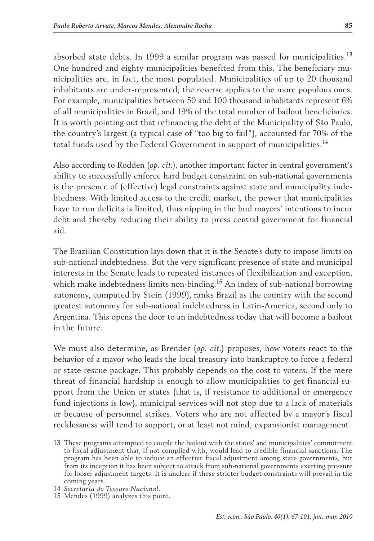absorbed state debts. In 1999 a similar program was passed for municipalities.<sup>13</sup> One hundred and eighty municipalities benefited from this. The beneficiary municipalities are, in fact, the most populated. Municipalities of up to 20 thousand inhabitants are under-represented; the reverse applies to the more populous ones. For example, municipalities between 50 and 100 thousand inhabitants represent 6% of all municipalities in Brazil, and 19% of the total number of bailout beneficiaries. It is worth pointing out that refinancing the debt of the Municipality of São Paulo, the country's largest (a typical case of "too big to fail"), accounted for 70% of the total funds used by the Federal Government in support of municipalities.<sup>14</sup>

Also according to Rodden (*op. cit.*), another important factor in central government's ability to successfully enforce hard budget constraint on sub-national governments is the presence of (effective) legal constraints against state and municipality indebtedness. With limited access to the credit market, the power that municipalities have to run deficits is limited, thus nipping in the bud mayors' intentions to incur debt and thereby reducing their ability to press central government for financial aid.

The Brazilian Constitution lays down that it is the Senate's duty to impose limits on sub-national indebtedness. But the very significant presence of state and municipal interests in the Senate leads to repeated instances of flexibilization and exception, which make indebtedness limits non-binding.<sup>15</sup> An index of sub-national borrowing autonomy, computed by Stein (1999), ranks Brazil as the country with the second greatest autonomy for sub-national indebtedness in Latin-America, second only to Argentina. This opens the door to an indebtedness today that will become a bailout in the future.

We must also determine, as Brender (*op. cit*.) proposes, how voters react to the behavior of a mayor who leads the local treasury into bankruptcy to force a federal or state rescue package. This probably depends on the cost to voters. If the mere threat of financial hardship is enough to allow municipalities to get financial support from the Union or states (that is, if resistance to additional or emergency fund injections is low), municipal services will not stop due to a lack of materials or because of personnel strikes. Voters who are not affected by a mayor's fiscal recklessness will tend to support, or at least not mind, expansionist management.

<sup>13</sup> These programs attempted to couple the bailout with the states' and municipalities' commitment to fiscal adjustment that, if not complied with, would lead to credible financial sanctions. The program has been able to induce an effective fiscal adjustment among state governments, but from its inception it has been subject to attack from sub-national governments exerting pressure for looser adjustment targets. It is unclear if these stricter budget constraints will prevail in the coming years.

<sup>14</sup> *Secretaria do Tesouro Nacional.*

<sup>15</sup> Mendes (1999) analyzes this point.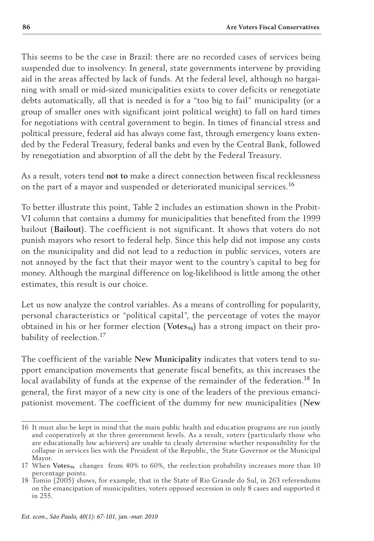This seems to be the case in Brazil: there are no recorded cases of services being suspended due to insolvency. In general, state governments intervene by providing aid in the areas affected by lack of funds. At the federal level, although no bargaining with small or mid-sized municipalities exists to cover deficits or renegotiate debts automatically, all that is needed is for a "too big to fail" municipality (or a group of smaller ones with significant joint political weight) to fall on hard times for negotiations with central government to begin. In times of financial stress and political pressure, federal aid has always come fast, through emergency loans extended by the Federal Treasury, federal banks and even by the Central Bank, followed by renegotiation and absorption of all the debt by the Federal Treasury.

As a result, voters tend **not to** make a direct connection between fiscal recklessness on the part of a mayor and suspended or deteriorated municipal services.<sup>16</sup>

To better illustrate this point, Table 2 includes an estimation shown in the Probit-VI column that contains a dummy for municipalities that benefited from the 1999 bailout (**Bailout**). The coefficient is not significant. It shows that voters do not punish mayors who resort to federal help. Since this help did not impose any costs on the municipality and did not lead to a reduction in public services, voters are not annoyed by the fact that their mayor went to the country's capital to beg for money. Although the marginal difference on log-likelihood is little among the other estimates, this result is our choice.

Let us now analyze the control variables. As a means of controlling for popularity, personal characteristics or "political capital", the percentage of votes the mayor obtained in his or her former election (Votes<sub>96</sub>) has a strong impact on their probability of reelection.<sup>17</sup>

The coefficient of the variable **New Municipality** indicates that voters tend to support emancipation movements that generate fiscal benefits, as this increases the local availability of funds at the expense of the remainder of the federation.<sup>18</sup> In general, the first mayor of a new city is one of the leaders of the previous emancipationist movement. The coefficient of the dummy for new municipalities (**New** 

<sup>16</sup> It must also be kept in mind that the main public health and education programs are run jointly and cooperatively at the three government levels. As a result, voters (particularly those who are educationally low achievers) are unable to clearly determine whether responsibility for the collapse in services lies with the President of the Republic, the State Governor or the Municipal Mayor.

<sup>17</sup> When Votes<sub>96</sub> changes from 40% to 60%, the reelection probability increases more than 10 percentage points.

<sup>18</sup> Tomio (2005) shows, for example, that in the State of Rio Grande do Sul, in 263 referendums on the emancipation of municipalities, voters opposed secession in only 8 cases and supported it in 255.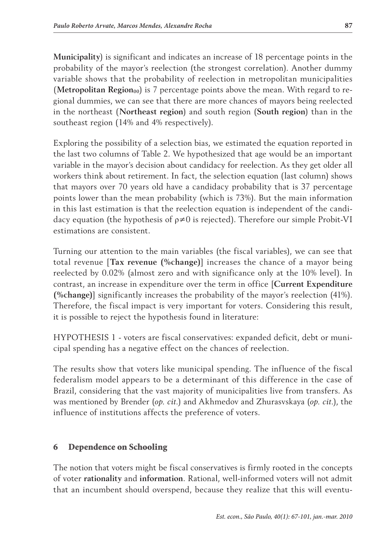**Municipality**) is significant and indicates an increase of 18 percentage points in the probability of the mayor's reelection (the strongest correlation). Another dummy variable shows that the probability of reelection in metropolitan municipalities (**Metropolitan Region**<sub>00</sub>) is 7 percentage points above the mean. With regard to regional dummies, we can see that there are more chances of mayors being reelected in the northeast (**Northeast region**) and south region (**South region**) than in the southeast region (14% and 4% respectively).

Exploring the possibility of a selection bias, we estimated the equation reported in the last two columns of Table 2. We hypothesized that age would be an important variable in the mayor's decision about candidacy for reelection. As they get older all workers think about retirement. In fact, the selection equation (last column) shows that mayors over 70 years old have a candidacy probability that is 37 percentage points lower than the mean probability (which is 73%). But the main information in this last estimation is that the reelection equation is independent of the candidacy equation (the hypothesis of ρ≠0 is rejected). Therefore our simple Probit-VI estimations are consistent.

Turning our attention to the main variables (the fiscal variables), we can see that total revenue [**Tax revenue (%change)**] increases the chance of a mayor being reelected by 0.02% (almost zero and with significance only at the 10% level). In contrast, an increase in expenditure over the term in office [**Current Expenditure (%change)**] significantly increases the probability of the mayor's reelection (41%). Therefore, the fiscal impact is very important for voters. Considering this result, it is possible to reject the hypothesis found in literature:

HYPOTHESIS 1 - voters are fiscal conservatives: expanded deficit, debt or municipal spending has a negative effect on the chances of reelection.

The results show that voters like municipal spending. The influence of the fiscal federalism model appears to be a determinant of this difference in the case of Brazil, considering that the vast majority of municipalities live from transfers. As was mentioned by Brender (*op. cit.*) and Akhmedov and Zhurasvskaya (*op. cit.*), the influence of institutions affects the preference of voters.

### 6 Dependence on Schooling

The notion that voters might be fiscal conservatives is firmly rooted in the concepts of voter **rationality** and **information**. Rational, well-informed voters will not admit that an incumbent should overspend, because they realize that this will eventu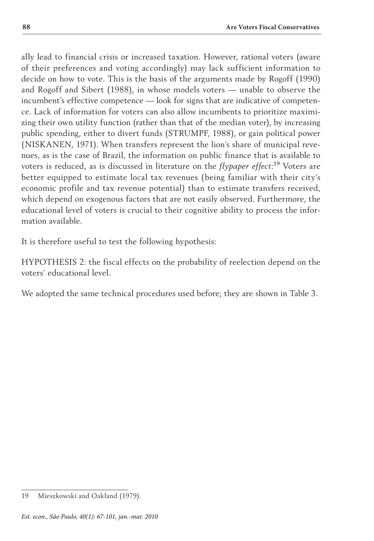ally lead to financial crisis or increased taxation. However, rational voters (aware of their preferences and voting accordingly) may lack sufficient information to decide on how to vote. This is the basis of the arguments made by Rogoff (1990) and Rogoff and Sibert (1988), in whose models voters — unable to observe the incumbent's effective competence — look for signs that are indicative of competence. Lack of information for voters can also allow incumbents to prioritize maximizing their own utility function (rather than that of the median voter), by increasing public spending, either to divert funds (STRUMPF, 1988), or gain political power (Niskanen, 1971). When transfers represent the lion's share of municipal revenues, as is the case of Brazil, the information on public finance that is available to voters is reduced, as is discussed in literature on the *flypaper effect*: <sup>19</sup> Voters are better equipped to estimate local tax revenues (being familiar with their city's economic profile and tax revenue potential) than to estimate transfers received, which depend on exogenous factors that are not easily observed. Furthermore, the educational level of voters is crucial to their cognitive ability to process the information available.

It is therefore useful to test the following hypothesis:

HYPOTHESIS 2: the fiscal effects on the probability of reelection depend on the voters' educational level.

We adopted the same technical procedures used before; they are shown in Table 3.

<sup>19</sup> Mieszkowski and Oakland (1979).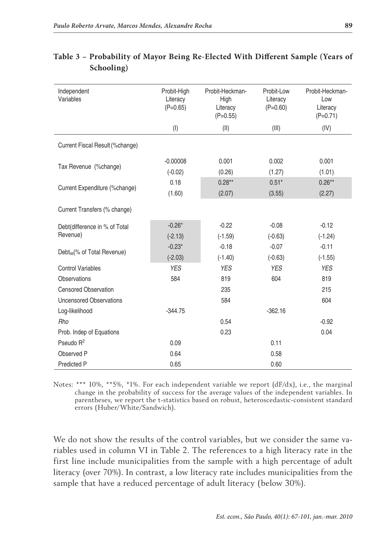| Independent<br>Variables                  | Probit-High<br>Literacy<br>$(P=0.65)$ | Probit-Heckman-<br>High<br>Literacy<br>$(P=0.55)$ | Probit-Low<br>Literacy<br>$(P=0.60)$ | Probit-Heckman-<br>Low<br>Literacy<br>$(P=0.71)$ |
|-------------------------------------------|---------------------------------------|---------------------------------------------------|--------------------------------------|--------------------------------------------------|
|                                           | $($ l $)$                             | (II)                                              | (III)                                | (IV)                                             |
| Current Fiscal Result (%change)           |                                       |                                                   |                                      |                                                  |
| Tax Revenue (%change)                     | $-0.00008$<br>$(-0.02)$               | 0.001<br>(0.26)                                   | 0.002<br>(1.27)                      | 0.001<br>(1.01)                                  |
| Current Expenditure (%change)             | 0.18<br>(1.60)                        | $0.28**$<br>(2.07)                                | $0.51*$<br>(3.55)                    | $0.26**$<br>(2.27)                               |
| Current Transfers (% change)              |                                       |                                                   |                                      |                                                  |
| Debt(difference in % of Total<br>Revenue) | $-0.26*$<br>$(-2.13)$                 | $-0.22$<br>$(-1.59)$                              | $-0.08$<br>$(-0.63)$                 | $-0.12$<br>$(-1.24)$                             |
| Debt <sub>98</sub> (% of Total Revenue)   | $-0.23*$<br>$(-2.03)$                 | $-0.18$<br>$(-1.40)$                              | $-0.07$<br>$(-0.63)$                 | $-0.11$<br>$(-1.55)$                             |
| <b>Control Variables</b>                  | <b>YES</b>                            | <b>YES</b>                                        | <b>YES</b>                           | <b>YES</b>                                       |
| <b>Observations</b>                       | 584                                   | 819                                               | 604                                  | 819                                              |
| <b>Censored Observation</b>               |                                       | 235                                               |                                      | 215                                              |
| <b>Uncensored Observations</b>            |                                       | 584                                               |                                      | 604                                              |
| Log-likelihood                            | $-344.75$                             |                                                   | $-362.16$                            |                                                  |
| Rho                                       |                                       | 0.54                                              |                                      | $-0.92$                                          |
| Prob. Indep of Equations                  |                                       | 0.23                                              |                                      | 0.04                                             |
| Pseudo R <sup>2</sup>                     | 0.09                                  |                                                   | 0.11                                 |                                                  |
| Observed P                                | 0.64                                  |                                                   | 0.58                                 |                                                  |
| Predicted P                               | 0.65                                  |                                                   | 0.60                                 |                                                  |

| Table 3 - Probability of Mayor Being Re-Elected With Different Sample (Years of |  |  |  |  |
|---------------------------------------------------------------------------------|--|--|--|--|
| Schooling)                                                                      |  |  |  |  |

Notes: \*\*\* 10%, \*\*5%, \*1%. For each independent variable we report  $(dF/dx)$ , i.e., the marginal change in the probability of success for the average values of the independent variables. In parentheses, we report the t-statistics based on robust, heteroscedastic-consistent standard errors (Huber/White/Sandwich).

We do not show the results of the control variables, but we consider the same variables used in column VI in Table 2. The references to a high literacy rate in the first line include municipalities from the sample with a high percentage of adult literacy (over 70%). In contrast, a low literacy rate includes municipalities from the sample that have a reduced percentage of adult literacy (below 30%).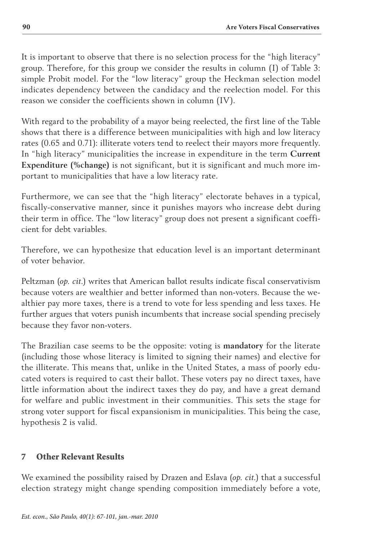It is important to observe that there is no selection process for the "high literacy" group. Therefore, for this group we consider the results in column (I) of Table 3: simple Probit model. For the "low literacy" group the Heckman selection model indicates dependency between the candidacy and the reelection model. For this reason we consider the coefficients shown in column (IV).

With regard to the probability of a mayor being reelected, the first line of the Table shows that there is a difference between municipalities with high and low literacy rates (0.65 and 0.71): illiterate voters tend to reelect their mayors more frequently. In "high literacy" municipalities the increase in expenditure in the term **Current Expenditure (%change)** is not significant, but it is significant and much more important to municipalities that have a low literacy rate.

Furthermore, we can see that the "high literacy" electorate behaves in a typical, fiscally-conservative manner, since it punishes mayors who increase debt during their term in office. The "low literacy" group does not present a significant coefficient for debt variables.

Therefore, we can hypothesize that education level is an important determinant of voter behavior.

Peltzman (*op. cit.*) writes that American ballot results indicate fiscal conservativism because voters are wealthier and better informed than non-voters. Because the wealthier pay more taxes, there is a trend to vote for less spending and less taxes. He further argues that voters punish incumbents that increase social spending precisely because they favor non-voters.

The Brazilian case seems to be the opposite: voting is **mandatory** for the literate (including those whose literacy is limited to signing their names) and elective for the illiterate. This means that, unlike in the United States, a mass of poorly educated voters is required to cast their ballot. These voters pay no direct taxes, have little information about the indirect taxes they do pay, and have a great demand for welfare and public investment in their communities. This sets the stage for strong voter support for fiscal expansionism in municipalities. This being the case, hypothesis 2 is valid.

# 7 Other Relevant Results

We examined the possibility raised by Drazen and Eslava (*op. cit.*) that a successful election strategy might change spending composition immediately before a vote,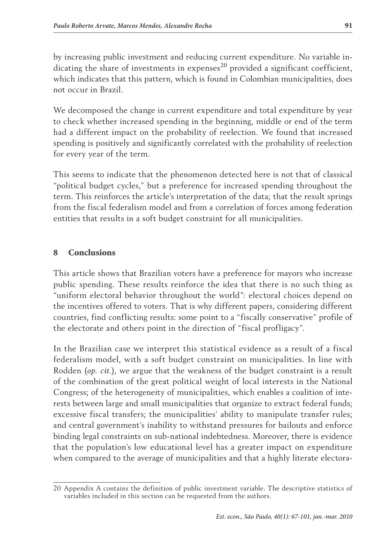by increasing public investment and reducing current expenditure. No variable indicating the share of investments in expenses<sup>20</sup> provided a significant coefficient, which indicates that this pattern, which is found in Colombian municipalities, does not occur in Brazil.

We decomposed the change in current expenditure and total expenditure by year to check whether increased spending in the beginning, middle or end of the term had a different impact on the probability of reelection. We found that increased spending is positively and significantly correlated with the probability of reelection for every year of the term.

This seems to indicate that the phenomenon detected here is not that of classical "political budget cycles," but a preference for increased spending throughout the term. This reinforces the article's interpretation of the data; that the result springs from the fiscal federalism model and from a correlation of forces among federation entities that results in a soft budget constraint for all municipalities.

# 8 Conclusions

This article shows that Brazilian voters have a preference for mayors who increase public spending. These results reinforce the idea that there is no such thing as "uniform electoral behavior throughout the world": electoral choices depend on the incentives offered to voters. That is why different papers, considering different countries, find conflicting results: some point to a "fiscally conservative" profile of the electorate and others point in the direction of "fiscal profligacy".

In the Brazilian case we interpret this statistical evidence as a result of a fiscal federalism model, with a soft budget constraint on municipalities. In line with Rodden (*op. cit.*), we argue that the weakness of the budget constraint is a result of the combination of the great political weight of local interests in the National Congress; of the heterogeneity of municipalities, which enables a coalition of interests between large and small municipalities that organize to extract federal funds; excessive fiscal transfers; the municipalities' ability to manipulate transfer rules; and central government's inability to withstand pressures for bailouts and enforce binding legal constraints on sub-national indebtedness. Moreover, there is evidence that the population's low educational level has a greater impact on expenditure when compared to the average of municipalities and that a highly literate electora-

<sup>20</sup> Appendix A contains the definition of public investment variable. The descriptive statistics of variables included in this section can be requested from the authors.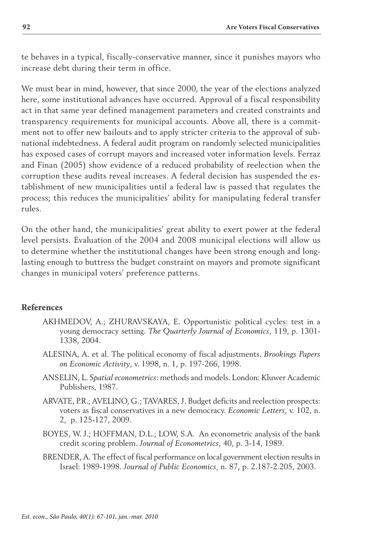te behaves in a typical, fiscally-conservative manner, since it punishes mayors who increase debt during their term in office.

We must bear in mind, however, that since 2000, the year of the elections analyzed here, some institutional advances have occurred. Approval of a fiscal responsibility act in that same year defined management parameters and created constraints and transparency requirements for municipal accounts. Above all, there is a commitment not to offer new bailouts and to apply stricter criteria to the approval of subnational indebtedness. A federal audit program on randomly selected municipalities has exposed cases of corrupt mayors and increased voter information levels. Ferraz and Finan (2005) show evidence of a reduced probability of reelection when the corruption these audits reveal increases. A federal decision has suspended the establishment of new municipalities until a federal law is passed that regulates the process; this reduces the municipalities' ability for manipulating federal transfer rules.

On the other hand, the municipalities' great ability to exert power at the federal level persists. Evaluation of the 2004 and 2008 municipal elections will allow us to determine whether the institutional changes have been strong enough and longlasting enough to buttress the budget constraint on mayors and promote significant changes in municipal voters' preference patterns.

### References

- AKHMEDOV, A.; ZHURAVSKAYA, E. Opportunistic political cycles: test in a young democracy setting. *The Quarterly Journal of Economics*, 119, p. 1301- 1338, 2004.
- Alesina, A. et al. The political economy of fiscal adjustments. *Brookings Papers on Economic Activity*, v. 1998, n. 1, p. 197-266, 1998.
- Anselin, L. *Spatial econometrics*: methods and models. London: Kluwer Academic Publishers, 1987.
- ARVATE, P.R.; AVELINO, G.; TAVARES, J. Budget deficits and reelection prospects: voters as fiscal conservatives in a new democracy. *Economic Letters*, v. 102, n. 2, p. 125-127, 2009.
- BOYES, W. J.; HOFFMAN, D.L.; LOW, S.A. An econometric analysis of the bank credit scoring problem. *Journal of Econometrics*, 40, p. 3-14, 1989.
- BRENDER, A. The effect of fiscal performance on local government election results in Israel: 1989-1998. *Journal of Public Economics,* n. 87, p. 2.187-2.205, 2003.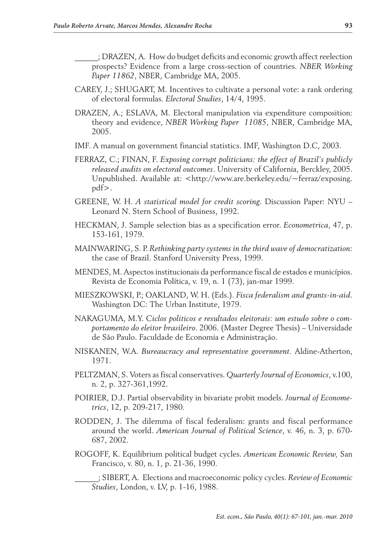- \_\_\_\_\_\_; Drazen, A. How do budget deficits and economic growth affect reelection prospects? Evidence from a large cross-section of countries. *NBER Working Paper 11862*, NBER, Cambridge MA, 2005.
- CAREY, J.; SHUGART, M. Incentives to cultivate a personal vote: a rank ordering of electoral formulas. *Electoral Studies*, 14/4, 1995.
- Drazen, A.; Eslava, M. Electoral manipulation via expenditure composition: theory and evidence, *NBER Working Paper 11085*, NBER, Cambridge MA, 2005.
- IMF. A manual on government financial statistics. IMF, Washington D.C, 2003.
- FERRAZ, C.; FINAN, F. *Exposing corrupt politicians: the effect of Brazil's publicly released audits on electoral outcomes*. University of California, Berckley, 2005. Unpublished. Available at: <http://www.are.berkeley.edu/~ferraz/exposing. pdf>.
- GREENE, W. H. *A statistical model for credit scoring*. Discussion Paper: NYU Leonard N. Stern School of Business, 1992.
- Heckman, J. Sample selection bias as a specification error. *Econometrica*, 47, p. 153-161, 1979.
- Mainwaring, S. P. *Rethinking party systems in the third wave of democratization*: the case of Brazil. Stanford University Press, 1999.
- Mendes, M. Aspectos institucionais da performance fiscal de estados e municípios. Revista de Economia Política, v. 19, n. 1 (73), jan-mar 1999.
- Mieszkowski, P.; Oakland, W. H. (Eds.). *Fisca federalism and grants-in-aid*. Washington DC: The Urban Institute, 1979.
- Nakaguma, M.Y. *Ciclos politicos e resultados eleitorais: um estudo sobre o comportamento do eleitor brasileiro*. 2006. (Master Degree Thesis) – Universidade de São Paulo. Faculdade de Economia e Administração.
- Niskanen, W.A. *Bureaucracy and representative government.* Aldine-Atherton, 1971.
- Peltzman, S. Voters as fiscal conservatives. *Quarterly Journal of Economics*, v.100, n. 2, p. 327-361,1992.
- POIRIER, D.J. Partial observability in bivariate probit models. *Journal of Econometrics*, 12, p. 209-217, 1980.
- RODDEN, J. The dilemma of fiscal federalism: grants and fiscal performance around the world. *American Journal of Political Science*, v. 46, n. 3, p. 670- 687, 2002.
- Rogoff, K. Equilibrium political budget cycles. *American Economic Review,* San Francisco, v. 80, n. 1, p. 21-36, 1990.

\_\_\_\_\_\_; Sibert, A. Elections and macroeconomic policy cycles. *Review of Economic Studies*, London, v. LV, p. 1-16, 1988.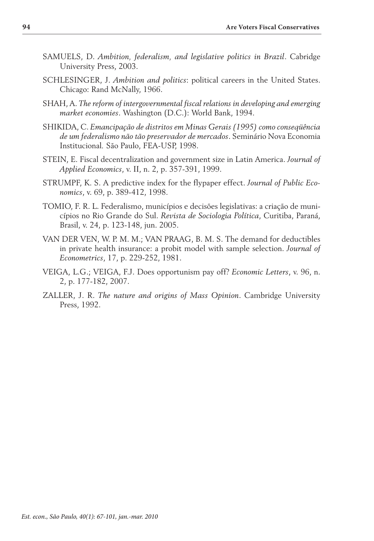- Samuels, D. *Ambition, federalism, and legislative politics in Brazil*. Cabridge University Press, 2003.
- SCHLESINGER, J. *Ambition and politics*: political careers in the United States. Chicago: Rand McNally, 1966.
- Shah, A. *The reform of intergovernmental fiscal relations in developing and emerging market economies*. Washington (D.C.): World Bank, 1994.
- Shikida, C. *Emancipação de distritos em Minas Gerais (1995) como conseqüência de um federalismo não tão preservador de mercados*. Seminário Nova Economia Institucional*.* São Paulo, FEA-USP, 1998.
- Stein, E. Fiscal decentralization and government size in Latin America. *Journal of Applied Economics*, v. II, n. 2, p. 357-391, 1999.
- Strumpf, K. S. A predictive index for the flypaper effect. *Journal of Public Economics*, v. 69, p. 389-412, 1998.
- Tomio, F. R. L. Federalismo, municípios e decisões legislativas: a criação de municípios no Rio Grande do Sul. *Revista de Sociologia Política*, Curitiba, Paraná, Brasil, v. 24, p. 123-148, jun. 2005.
- Van Der Ven, W. P. M. M.; Van Praag, B. M. S. The demand for deductibles in private health insurance: a probit model with sample selection. *Journal of Econometrics*, 17, p. 229-252, 1981.
- Veiga, L.G.; Veiga, F.J. Does opportunism pay off? *Economic Letters*, v. 96, n. 2, p. 177-182, 2007.
- Zaller, J. R. *The nature and origins of Mass Opinion*. Cambridge University Press, 1992.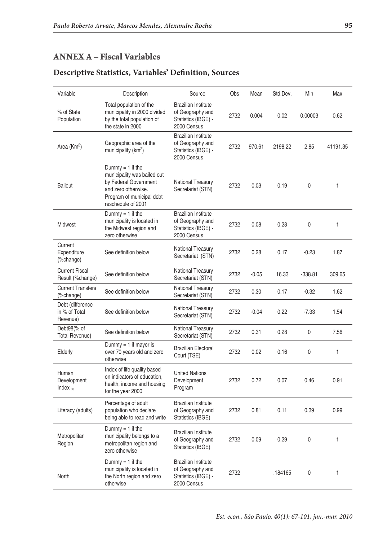# ANNEX A – Fiscal Variables

| Variable                                      | Description                                                                                                                                          | Source                                                                               | Obs  | Mean    | Std.Dev. | Min       | Max          |
|-----------------------------------------------|------------------------------------------------------------------------------------------------------------------------------------------------------|--------------------------------------------------------------------------------------|------|---------|----------|-----------|--------------|
| % of State<br>Population                      | Total population of the<br>municipality in 2000 divided<br>by the total population of<br>the state in 2000                                           | <b>Brazilian Institute</b><br>of Geography and<br>Statistics (IBGE) -<br>2000 Census | 2732 | 0.004   | 0.02     | 0.00003   | 0.62         |
| Area $(Km2)$                                  | Geographic area of the<br>municipality $(km^2)$                                                                                                      | <b>Brazilian Institute</b><br>of Geography and<br>Statistics (IBGE) -<br>2000 Census | 2732 | 970.61  | 2198.22  | 2.85      | 41191.35     |
| <b>Bailout</b>                                | Dummy $= 1$ if the<br>municipality was bailed out<br>by Federal Government<br>and zero otherwise.<br>Program of municipal debt<br>reschedule of 2001 | <b>National Treasury</b><br>Secretariat (STN)                                        | 2732 | 0.03    | 0.19     | 0         | $\mathbf{1}$ |
| Midwest                                       | Dummy $= 1$ if the<br>municipality is located in<br>the Midwest region and<br>zero otherwise                                                         | <b>Brazilian Institute</b><br>of Geography and<br>Statistics (IBGE) -<br>2000 Census | 2732 | 0.08    | 0.28     | 0         | 1            |
| Current<br>Expenditure<br>(%change)           | See definition below                                                                                                                                 | National Treasury<br>Secretariat (STN)                                               | 2732 | 0.28    | 0.17     | $-0.23$   | 1.87         |
| <b>Current Fiscal</b><br>Result (%change)     | See definition below                                                                                                                                 | National Treasury<br>Secretariat (STN)                                               | 2732 | $-0.05$ | 16.33    | $-338.81$ | 309.65       |
| <b>Current Transfers</b><br>(%change)         | See definition below                                                                                                                                 | National Treasury<br>Secretariat (STN)                                               | 2732 | 0.30    | 0.17     | $-0.32$   | 1.62         |
| Debt (difference<br>in % of Total<br>Revenue) | See definition below                                                                                                                                 | National Treasury<br>Secretariat (STN)                                               | 2732 | $-0.04$ | 0.22     | $-7.33$   | 1.54         |
| Debt98(% of<br><b>Total Revenue)</b>          | See definition below                                                                                                                                 | National Treasury<br>Secretariat (STN)                                               | 2732 | 0.31    | 0.28     | 0         | 7.56         |
| Elderly                                       | Dummy = $1$ if mayor is<br>over 70 years old and zero<br>otherwise                                                                                   | <b>Brazilian Electoral</b><br>Court (TSE)                                            | 2732 | 0.02    | 0.16     | 0         | $\mathbf{1}$ |
| Human<br>Development<br>Index $_{00}$         | Index of life quality based<br>on indicators of education,<br>health, income and housing<br>for the year 2000                                        | <b>United Nations</b><br>Development<br>Program                                      | 2732 | 0.72    | 0.07     | 0.46      | 0.91         |
| Literacy (adults)                             | Percentage of adult<br>population who declare<br>being able to read and write                                                                        | Brazilian Institute<br>of Geography and<br>Statistics (IBGE)                         | 2732 | 0.81    | 0.11     | 0.39      | 0.99         |
| Metropolitan<br>Region                        | Dummy = $1$ if the<br>municipality belongs to a<br>metropolitan region and<br>zero otherwise                                                         | Brazilian Institute<br>of Geography and<br>Statistics (IBGE)                         | 2732 | 0.09    | 0.29     | 0         | $\mathbf{1}$ |
| North                                         | Dummy = $1$ if the<br>municipality is located in<br>the North region and zero<br>otherwise                                                           | <b>Brazilian Institute</b><br>of Geography and<br>Statistics (IBGE) -<br>2000 Census | 2732 |         | .184165  | 0         | 1            |

#### **Descriptive Statistics, Variables' Definition, Sources**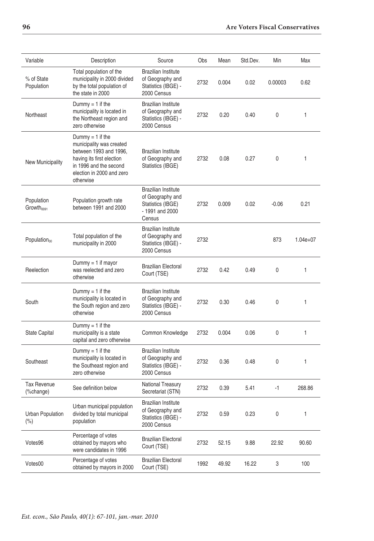| Variable                             | Description                                                                                                                                                             | Source                                                                                           | Obs  | Mean  | Std.Dev. | Min     | Max          |
|--------------------------------------|-------------------------------------------------------------------------------------------------------------------------------------------------------------------------|--------------------------------------------------------------------------------------------------|------|-------|----------|---------|--------------|
| % of State<br>Population             | Total population of the<br>municipality in 2000 divided<br>by the total population of<br>the state in 2000                                                              | <b>Brazilian Institute</b><br>of Geography and<br>Statistics (IBGE) -<br>2000 Census             | 2732 | 0.004 | 0.02     | 0.00003 | 0.62         |
| Northeast                            | Dummy = $1$ if the<br>municipality is located in<br>the Northeast region and<br>zero otherwise                                                                          | <b>Brazilian Institute</b><br>of Geography and<br>Statistics (IBGE) -<br>2000 Census             | 2732 | 0.20  | 0.40     | 0       | 1            |
| New Municipality                     | Dummy = 1 if the<br>municipality was created<br>between 1993 and 1996.<br>having its first election<br>in 1996 and the second<br>election in 2000 and zero<br>otherwise | <b>Brazilian Institute</b><br>of Geography and<br>Statistics (IBGE)                              | 2732 | 0.08  | 0.27     | 0       | 1            |
| Population<br>Growth <sub>0091</sub> | Population growth rate<br>between 1991 and 2000                                                                                                                         | <b>Brazilian Institute</b><br>of Geography and<br>Statistics (IBGE)<br>- 1991 and 2000<br>Census | 2732 | 0.009 | 0.02     | $-0.06$ | 0.21         |
| Population <sub>00</sub>             | Total population of the<br>municipality in 2000                                                                                                                         | <b>Brazilian Institute</b><br>of Geography and<br>Statistics (IBGE) -<br>2000 Census             | 2732 |       |          | 873     | $1.04e + 07$ |
| Reelection                           | Dummy $= 1$ if mayor<br>was reelected and zero<br>otherwise                                                                                                             | <b>Brazilian Electoral</b><br>Court (TSE)                                                        | 2732 | 0.42  | 0.49     | 0       | 1            |
| South                                | Dummy = 1 if the<br>municipality is located in<br>the South region and zero<br>otherwise                                                                                | <b>Brazilian Institute</b><br>of Geography and<br>Statistics (IBGE) -<br>2000 Census             | 2732 | 0.30  | 0.46     | 0       | 1            |
| State Capital                        | Dummy $= 1$ if the<br>municipality is a state<br>capital and zero otherwise                                                                                             | Common Knowledge                                                                                 | 2732 | 0.004 | 0.06     | 0       | 1            |
| Southeast                            | Dummy $= 1$ if the<br>municipality is located in<br>the Southeast region and<br>zero otherwise                                                                          | <b>Brazilian Institute</b><br>of Geography and<br>Statistics (IBGE) -<br>2000 Census             | 2732 | 0.36  | 0.48     | 0       | 1            |
| <b>Tax Revenue</b><br>(%change)      | See definition below                                                                                                                                                    | <b>National Treasury</b><br>Secretariat (STN)                                                    | 2732 | 0.39  | 5.41     | -1      | 268.86       |
| <b>Urban Population</b><br>(%)       | Urban municipal population<br>divided by total municipal<br>population                                                                                                  | <b>Brazilian Institute</b><br>of Geography and<br>Statistics (IBGE) -<br>2000 Census             | 2732 | 0.59  | 0.23     | 0       | 1            |
| Votes96                              | Percentage of votes<br>obtained by mayors who<br>were candidates in 1996                                                                                                | <b>Brazilian Electoral</b><br>Court (TSE)                                                        | 2732 | 52.15 | 9.88     | 22.92   | 90.60        |
| Votes00                              | Percentage of votes<br>obtained by mayors in 2000                                                                                                                       | <b>Brazilian Electoral</b><br>Court (TSE)                                                        | 1992 | 49.92 | 16.22    | 3       | 100          |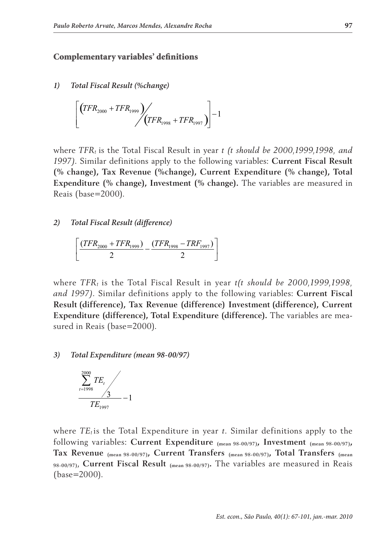#### Complementary variables' definitions

*1) Total Fiscal Result (%change)*

$$
\left[ \left( TFR_{2000} + TFR_{1999} \right) / \left( TFR_{1998} + TFR_{1997} \right) \right] - 1
$$

where *TFRt* is the Total Fiscal Result in year *t (t should be 2000,1999,1998, and 1997)*. Similar definitions apply to the following variables: **Current Fiscal Result (% change), Tax Revenue (%change), Current Expenditure (% change), Total Expenditure (% change), Investment (% change).** The variables are measured in Reais (base=2000).

#### *2) Total Fiscal Result (difference)*

$$
\left[\frac{(TFR_{2000} + TFR_{1999})}{2} - \frac{(TFR_{1998} - TRF_{1997})}{2}\right]
$$

where *TFRt* is the Total Fiscal Result in year *t(t should be 2000,1999,1998, and 1997)*. Similar definitions apply to the following variables: **Current Fiscal Result (difference), Tax Revenue (difference) Investment (difference), Current Expenditure (difference), Total Expenditure (difference).** The variables are measured in Reais (base=2000).

#### *3) Total Expenditure (mean 98-00/97)*



where  $TE_t$  is the Total Expenditure in year *t*. Similar definitions apply to the following variables: **Current Expenditure (mean 98-00/97), Investment (mean 98-00/97), Tax Revenue (mean 98-00/97), Current Transfers (mean 98-00/97), Total Transfers (mean 98-00/97)**, **Current Fiscal Result (mean 98-00/97).** The variables are measured in Reais (base=2000).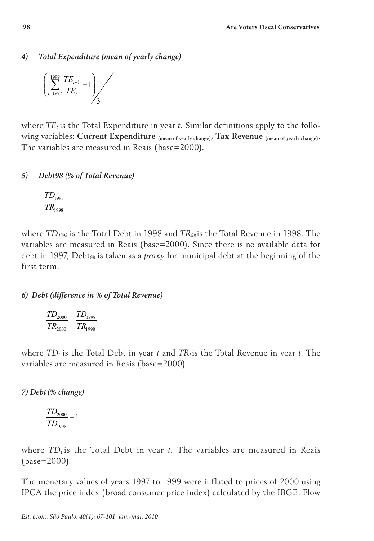*4) Total Expenditure (mean of yearly change)* 

$$
\left(\sum_{t=1997}^{1999} \frac{TE_{t+1}}{TE_{t}} - 1\right) \Bigg/ 3
$$

where *TEt* is the Total Expenditure in year *t.* Similar definitions apply to the following variables: **Current Expenditure (mean of yearly change), Tax Revenue (mean of yearly change)**. The variables are measured in Reais (base=2000).

### *5) Debt98 (% of Total Revenue)*

$$
\frac{TD_{1998}}{TR_{1998}}
$$

where *TD1998* is the Total Debt in 1998 and *TR<sup>98</sup>* is the Total Revenue in 1998. The variables are measured in Reais (base=2000). Since there is no available data for debt in 1997, Debt<sub>98</sub> is taken as a *proxy* for municipal debt at the beginning of the first term.

### *6) Debt (difference in % of Total Revenue)*

$$
\frac{TD_{2000}}{TR_{2000}} - \frac{TD_{1998}}{TR_{1998}}
$$

where  $TD_t$  is the Total Debt in year *t* and  $TR_t$  is the Total Revenue in year *t*. The variables are measured in Reais (base=2000).

*7) Debt(% change)* 

$$
\frac{TD_{2000}}{TD_{1998}}-1
$$

where  $TD_t$  is the Total Debt in year *t*. The variables are measured in Reais (base=2000).

The monetary values of years 1997 to 1999 were inflated to prices of 2000 using IPCA the price index (broad consumer price index) calculated by the IBGE. Flow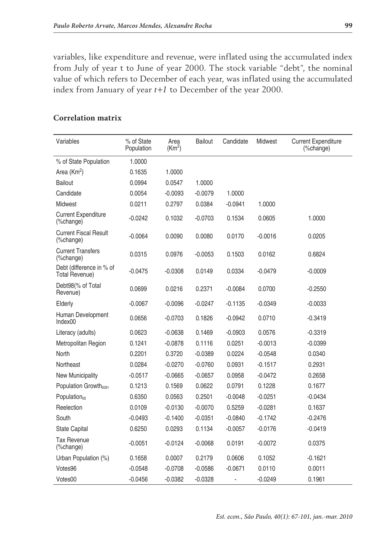variables, like expenditure and revenue, were inflated using the accumulated index from July of year t to June of year 2000. The stock variable "debt", the nominal value of which refers to December of each year, was inflated using the accumulated index from January of year *t+1* to December of the year 2000.

| Variables                                         | % of State<br>Population | Area<br>(Km <sup>2</sup> ) | <b>Bailout</b> | Candidate | <b>Midwest</b> | <b>Current Expenditure</b><br>(%change) |
|---------------------------------------------------|--------------------------|----------------------------|----------------|-----------|----------------|-----------------------------------------|
| % of State Population                             | 1.0000                   |                            |                |           |                |                                         |
| Area $(Km2)$                                      | 0.1635                   | 1.0000                     |                |           |                |                                         |
| <b>Bailout</b>                                    | 0.0994                   | 0.0547                     | 1.0000         |           |                |                                         |
| Candidate                                         | 0.0054                   | $-0.0093$                  | $-0.0079$      | 1.0000    |                |                                         |
| Midwest                                           | 0.0211                   | 0.2797                     | 0.0384         | $-0.0941$ | 1.0000         |                                         |
| <b>Current Expenditure</b><br>(%change)           | $-0.0242$                | 0.1032                     | $-0.0703$      | 0.1534    | 0.0605         | 1.0000                                  |
| <b>Current Fiscal Result</b><br>(%change)         | $-0.0064$                | 0.0090                     | 0.0080         | 0.0170    | $-0.0016$      | 0.0205                                  |
| <b>Current Transfers</b><br>(%change)             | 0.0315                   | 0.0976                     | $-0.0053$      | 0.1503    | 0.0162         | 0.6824                                  |
| Debt (difference in % of<br><b>Total Revenue)</b> | $-0.0475$                | $-0.0308$                  | 0.0149         | 0.0334    | $-0.0479$      | $-0.0009$                               |
| Debt98(% of Total<br>Revenue)                     | 0.0699                   | 0.0216                     | 0.2371         | $-0.0084$ | 0.0700         | $-0.2550$                               |
| Elderly                                           | $-0.0067$                | -0.0096                    | $-0.0247$      | $-0.1135$ | $-0.0349$      | $-0.0033$                               |
| Human Development<br>Index00                      | 0.0656                   | $-0.0703$                  | 0.1826         | $-0.0942$ | 0.0710         | -0.3419                                 |
| Literacy (adults)                                 | 0.0623                   | $-0.0638$                  | 0.1469         | $-0.0903$ | 0.0576         | $-0.3319$                               |
| Metropolitan Region                               | 0.1241                   | $-0.0878$                  | 0.1116         | 0.0251    | $-0.0013$      | $-0.0399$                               |
| North                                             | 0.2201                   | 0.3720                     | $-0.0389$      | 0.0224    | $-0.0548$      | 0.0340                                  |
| Northeast                                         | 0.0284                   | $-0.0270$                  | $-0.0760$      | 0.0931    | $-0.1517$      | 0.2931                                  |
| New Municipality                                  | $-0.0517$                | $-0.0665$                  | $-0.0657$      | 0.0958    | $-0.0472$      | 0.2658                                  |
| Population Growth <sub>0091</sub>                 | 0.1213                   | 0.1569                     | 0.0622         | 0.0791    | 0.1228         | 0.1677                                  |
| Population <sub>00</sub>                          | 0.6350                   | 0.0563                     | 0.2501         | $-0.0048$ | $-0.0251$      | $-0.0434$                               |
| Reelection                                        | 0.0109                   | $-0.0130$                  | $-0.0070$      | 0.5259    | $-0.0281$      | 0.1637                                  |
| South                                             | $-0.0493$                | $-0.1400$                  | $-0.0351$      | $-0.0840$ | $-0.1742$      | $-0.2476$                               |
| <b>State Capital</b>                              | 0.6250                   | 0.0293                     | 0.1134         | $-0.0057$ | $-0.0176$      | $-0.0419$                               |
| <b>Tax Revenue</b><br>(%change)                   | $-0.0051$                | $-0.0124$                  | $-0.0068$      | 0.0191    | $-0.0072$      | 0.0375                                  |
| Urban Population (%)                              | 0.1658                   | 0.0007                     | 0.2179         | 0.0606    | 0.1052         | $-0.1621$                               |
| Votes96                                           | $-0.0548$                | $-0.0708$                  | $-0.0586$      | $-0.0671$ | 0.0110         | 0.0011                                  |
| Votes00                                           | $-0.0456$                | $-0.0382$                  | $-0.0328$      | -         | $-0.0249$      | 0.1961                                  |

#### **Correlation matrix**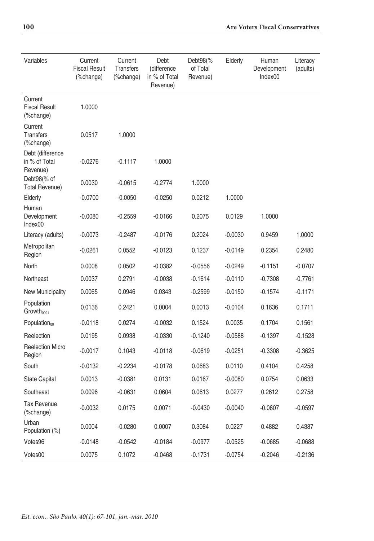| Variables                                     | Current<br><b>Fiscal Result</b><br>(%change) | Current<br>Transfers<br>(%change) | Debt<br>(difference<br>in % of Total<br>Revenue) | Debt98(%<br>of Total<br>Revenue) | Elderly   | Human<br>Development<br>Index00 | Literacy<br>(adults) |
|-----------------------------------------------|----------------------------------------------|-----------------------------------|--------------------------------------------------|----------------------------------|-----------|---------------------------------|----------------------|
| Current<br><b>Fiscal Result</b><br>(%change)  | 1.0000                                       |                                   |                                                  |                                  |           |                                 |                      |
| Current<br><b>Transfers</b><br>(%change)      | 0.0517                                       | 1.0000                            |                                                  |                                  |           |                                 |                      |
| Debt (difference<br>in % of Total<br>Revenue) | $-0.0276$                                    | $-0.1117$                         | 1.0000                                           |                                  |           |                                 |                      |
| Debt98(% of<br><b>Total Revenue)</b>          | 0.0030                                       | $-0.0615$                         | $-0.2774$                                        | 1.0000                           |           |                                 |                      |
| Elderly                                       | $-0.0700$                                    | $-0.0050$                         | $-0.0250$                                        | 0.0212                           | 1.0000    |                                 |                      |
| Human<br>Development<br>Index00               | $-0.0080$                                    | $-0.2559$                         | $-0.0166$                                        | 0.2075                           | 0.0129    | 1.0000                          |                      |
| Literacy (adults)                             | $-0.0073$                                    | $-0.2487$                         | $-0.0176$                                        | 0.2024                           | $-0.0030$ | 0.9459                          | 1.0000               |
| Metropolitan<br>Region                        | $-0.0261$                                    | 0.0552                            | $-0.0123$                                        | 0.1237                           | $-0.0149$ | 0.2354                          | 0.2480               |
| North                                         | 0.0008                                       | 0.0502                            | $-0.0382$                                        | $-0.0556$                        | $-0.0249$ | $-0.1151$                       | $-0.0707$            |
| Northeast                                     | 0.0037                                       | 0.2791                            | $-0.0038$                                        | $-0.1614$                        | $-0.0110$ | $-0.7308$                       | $-0.7761$            |
| New Municipality                              | 0.0065                                       | 0.0946                            | 0.0343                                           | $-0.2599$                        | $-0.0150$ | $-0.1574$                       | $-0.1171$            |
| Population<br>Growth <sub>0091</sub>          | 0.0136                                       | 0.2421                            | 0.0004                                           | 0.0013                           | $-0.0104$ | 0.1636                          | 0.1711               |
| Population <sub>00</sub>                      | $-0.0118$                                    | 0.0274                            | $-0.0032$                                        | 0.1524                           | 0.0035    | 0.1704                          | 0.1561               |
| Reelection                                    | 0.0195                                       | 0.0938                            | $-0.0330$                                        | $-0.1240$                        | $-0.0588$ | $-0.1397$                       | $-0.1528$            |
| <b>Reelection Micro</b><br>Region             | $-0.0017$                                    | 0.1043                            | $-0.0118$                                        | $-0.0619$                        | $-0.0251$ | $-0.3308$                       | $-0.3625$            |
| South                                         | $-0.0132$                                    | $-0.2234$                         | $-0.0178$                                        | 0.0683                           | 0.0110    | 0.4104                          | 0.4258               |
| State Capital                                 | 0.0013                                       | $-0.0381$                         | 0.0131                                           | 0.0167                           | $-0.0080$ | 0.0754                          | 0.0633               |
| Southeast                                     | 0.0096                                       | $-0.0631$                         | 0.0604                                           | 0.0613                           | 0.0277    | 0.2612                          | 0.2758               |
| <b>Tax Revenue</b><br>(%change)               | $-0.0032$                                    | 0.0175                            | 0.0071                                           | $-0.0430$                        | $-0.0040$ | $-0.0607$                       | $-0.0597$            |
| Urban<br>Population (%)                       | 0.0004                                       | $-0.0280$                         | 0.0007                                           | 0.3084                           | 0.0227    | 0.4882                          | 0.4387               |
| Votes96                                       | $-0.0148$                                    | $-0.0542$                         | $-0.0184$                                        | $-0.0977$                        | $-0.0525$ | $-0.0685$                       | $-0.0688$            |
| Votes00                                       | 0.0075                                       | 0.1072                            | $-0.0468$                                        | $-0.1731$                        | $-0.0754$ | $-0.2046$                       | $-0.2136$            |